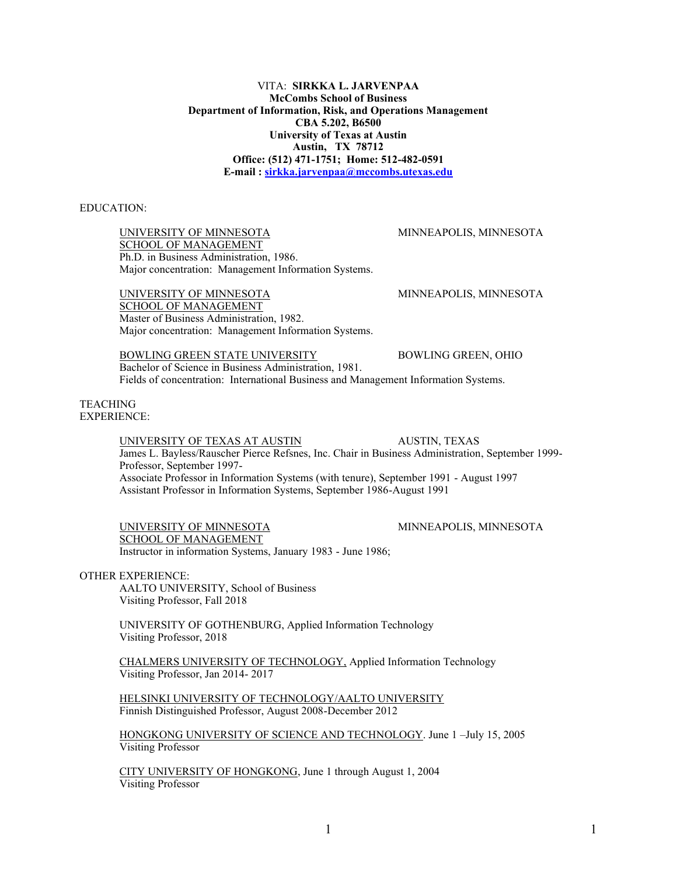VITA: **SIRKKA L. JARVENPAA McCombs School of Business Department of Information, Risk, and Operations Management CBA 5.202, B6500 University of Texas at Austin Austin, TX 78712 Office: (512) 471-1751; Home: 512-482-0591 E-mail [: sirkka.jarvenpaa@mccombs.utexas.edu](mailto:sirkka.jarvenpaa@mccombs.utexas.edu)**

# EDUCATION:

UNIVERSITY OF MINNESOTA MINNEAPOLIS, MINNESOTA SCHOOL OF MANAGEMENT Ph.D. in Business Administration, 1986. Major concentration: Management Information Systems.

UNIVERSITY OF MINNESOTA MINNEAPOLIS, MINNESOTA SCHOOL OF MANAGEMENT Master of Business Administration, 1982. Major concentration: Management Information Systems.

BOWLING GREEN STATE UNIVERSITY BOWLING GREEN, OHIO Bachelor of Science in Business Administration, 1981. Fields of concentration: International Business and Management Information Systems.

TEACHING EXPERIENCE:

> UNIVERSITY OF TEXAS AT AUSTIN AUSTIN, TEXAS James L. Bayless/Rauscher Pierce Refsnes, Inc. Chair in Business Administration, September 1999- Professor, September 1997- Associate Professor in Information Systems (with tenure), September 1991 - August 1997 Assistant Professor in Information Systems, September 1986-August 1991

UNIVERSITY OF MINNESOTA MINNEAPOLIS, MINNESOTA SCHOOL OF MANAGEMENT

Instructor in information Systems, January 1983 - June 1986;

# OTHER EXPERIENCE:

AALTO UNIVERSITY, School of Business Visiting Professor, Fall 2018

UNIVERSITY OF GOTHENBURG, Applied Information Technology Visiting Professor, 2018

CHALMERS UNIVERSITY OF TECHNOLOGY, Applied Information Technology Visiting Professor, Jan 2014- 2017

HELSINKI UNIVERSITY OF TECHNOLOGY/AALTO UNIVERSITY Finnish Distinguished Professor, August 2008-December 2012

HONGKONG UNIVERSITY OF SCIENCE AND TECHNOLOGY. June 1-July 15, 2005 Visiting Professor

CITY UNIVERSITY OF HONGKONG, June 1 through August 1, 2004 Visiting Professor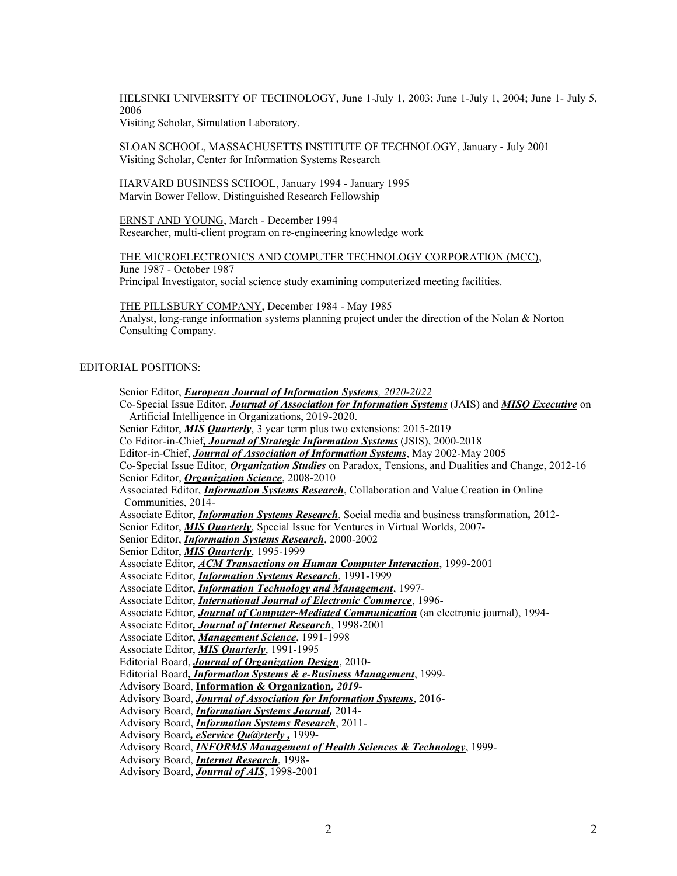HELSINKI UNIVERSITY OF TECHNOLOGY, June 1-July 1, 2003; June 1-July 1, 2004; June 1- July 5, 2006

Visiting Scholar, Simulation Laboratory.

SLOAN SCHOOL, MASSACHUSETTS INSTITUTE OF TECHNOLOGY, January - July 2001 Visiting Scholar, Center for Information Systems Research

HARVARD BUSINESS SCHOOL, January 1994 - January 1995 Marvin Bower Fellow, Distinguished Research Fellowship

ERNST AND YOUNG, March - December 1994 Researcher, multi-client program on re-engineering knowledge work

THE MICROELECTRONICS AND COMPUTER TECHNOLOGY CORPORATION (MCC), June 1987 - October 1987 Principal Investigator, social science study examining computerized meeting facilities.

THE PILLSBURY COMPANY, December 1984 - May 1985 Analyst, long-range information systems planning project under the direction of the Nolan & Norton Consulting Company.

# EDITORIAL POSITIONS:

Senior Editor, *European Journal of Information Systems, 2020-2022* Co-Special Issue Editor, *Journal of Association for Information Systems* (JAIS) and *MISQ Executive* on Artificial Intelligence in Organizations, 2019-2020. Senior Editor, *MIS Quarterly*, 3 year term plus two extensions: 2015-2019 Co Editor-in-Chief*, Journal of Strategic Information Systems* (JSIS), 2000-2018 Editor-in-Chief, *Journal of Association of Information Systems*, May 2002-May 2005 Co-Special Issue Editor, *Organization Studies* on Paradox, Tensions, and Dualities and Change, 2012-16 Senior Editor, *Organization Science*, 2008-2010 Associated Editor, *Information Systems Research*, Collaboration and Value Creation in Online Communities, 2014- Associate Editor, *Information Systems Research*, Social media and business transformation*,* 2012- Senior Editor, *MIS Quarterly*, Special Issue for Ventures in Virtual Worlds, 2007- Senior Editor, *Information Systems Research*, 2000-2002 Senior Editor, *MIS Quarterly*, 1995-1999 Associate Editor, *ACM Transactions on Human Computer Interaction*, 1999-2001 Associate Editor, *Information Systems Research*, 1991-1999 Associate Editor, *Information Technology and Management*, 1997- Associate Editor, *International Journal of Electronic Commerce*, 1996- Associate Editor, *Journal of Computer-Mediated Communication* (an electronic journal), 1994- Associate Editor*, Journal of Internet Research*, 1998-2001 Associate Editor, *Management Science*, 1991-1998 Associate Editor, *MIS Quarterly*, 1991-1995 Editorial Board, *Journal of Organization Design*, 2010- Editorial Board*, Information Systems & e-Business Management*, 1999- Advisory Board, **Information & Organization***, 2019-* Advisory Board, *Journal of Association for Information Systems*, 2016- Advisory Board, *Information Systems Journal,* 2014- Advisory Board, *Information Systems Research*, 2011- Advisory Board*, eService [Qu@rterly](mailto:Qu@rterly) ,* 1999- Advisory Board, *INFORMS Management of Health Sciences & Technology*, 1999- Advisory Board, *Internet Research*, 1998- Advisory Board, *Journal of AIS*, 1998-2001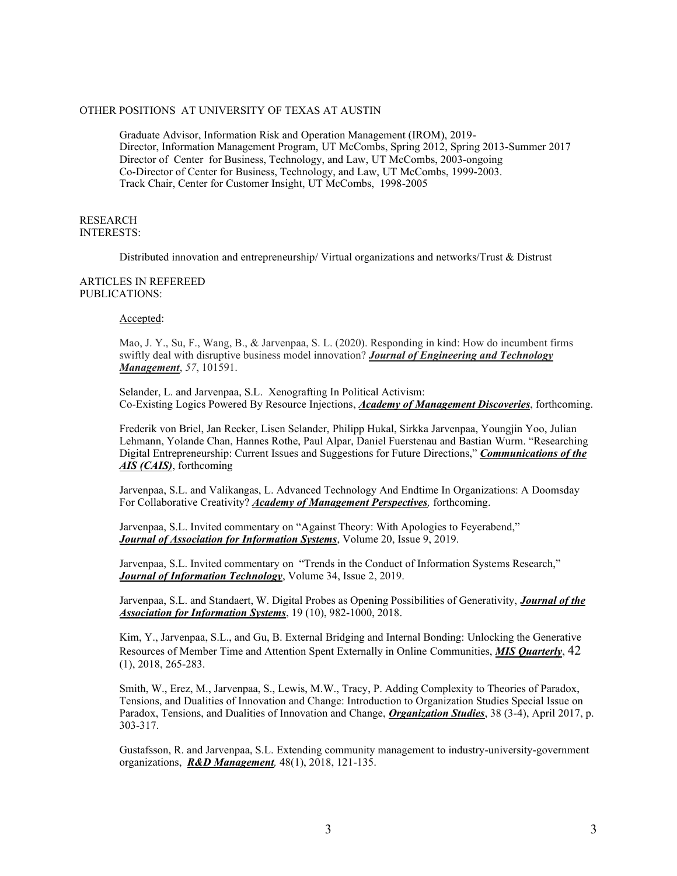# OTHER POSITIONS AT UNIVERSITY OF TEXAS AT AUSTIN

Graduate Advisor, Information Risk and Operation Management (IROM), 2019- Director, Information Management Program, UT McCombs, Spring 2012, Spring 2013-Summer 2017 Director of Center for Business, Technology, and Law, UT McCombs, 2003-ongoing Co-Director of Center for Business, Technology, and Law, UT McCombs, 1999-2003. Track Chair, Center for Customer Insight, UT McCombs, 1998-2005

# RESEARCH INTERESTS:

Distributed innovation and entrepreneurship/ Virtual organizations and networks/Trust & Distrust

### ARTICLES IN REFEREED PUBLICATIONS:

#### Accepted:

Mao, J. Y., Su, F., Wang, B., & Jarvenpaa, S. L. (2020). Responding in kind: How do incumbent firms swiftly deal with disruptive business model innovation? *Journal of Engineering and Technology Management*, *57*, 101591.

Selander, L. and Jarvenpaa, S.L. Xenografting In Political Activism: Co-Existing Logics Powered By Resource Injections, *Academy of Management Discoveries*, forthcoming.

Frederik von Briel, Jan Recker, Lisen Selander, Philipp Hukal, Sirkka Jarvenpaa, Youngjin Yoo, Julian Lehmann, Yolande Chan, Hannes Rothe, Paul Alpar, Daniel Fuerstenau and Bastian Wurm, "Researching Digital Entrepreneurship: Current Issues and Suggestions for Future Directions," *Communications of the AIS (CAIS)*, forthcoming

Jarvenpaa, S.L. and Valikangas, L. Advanced Technology And Endtime In Organizations: A Doomsday For Collaborative Creativity? *Academy of Management Perspectives,* forthcoming.

Jarvenpaa, S.L. Invited commentary on "Against Theory: With Apologies to Feyerabend," *Journal of Association for Information Systems*, Volume 20, Issue 9, 2019.

Jarvenpaa, S.L. Invited commentary on "Trends in the Conduct of Information Systems Research," *Journal of Information Technology*, Volume 34, Issue 2, 2019.

Jarvenpaa, S.L. and Standaert, W. Digital Probes as Opening Possibilities of Generativity, *Journal of the Association for Information Systems*, 19 (10), 982-1000, 2018.

Kim, Y., Jarvenpaa, S.L., and Gu, B. External Bridging and Internal Bonding: Unlocking the Generative Resources of Member Time and Attention Spent Externally in Online Communities, *MIS Quarterly*, 42 (1), 2018, 265-283.

Smith, W., Erez, M., Jarvenpaa, S., Lewis, M.W., Tracy, P. Adding Complexity to Theories of Paradox, Tensions, and Dualities of Innovation and Change: Introduction to Organization Studies Special Issue on Paradox, Tensions, and Dualities of Innovation and Change, *Organization Studies*, 38 (3-4), April 2017, p. 303-317.

Gustafsson, R. and Jarvenpaa, S.L. Extending community management to industry-university-government organizations, *R&D Management,* 48(1), 2018, 121-135.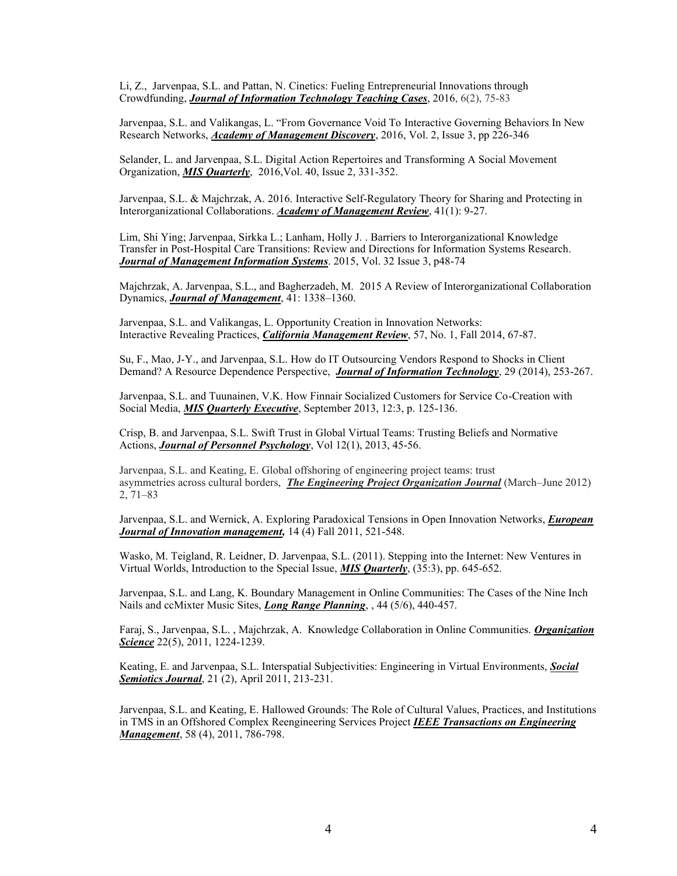Li, Z., Jarvenpaa, S.L. and Pattan, N. Cinetics: Fueling Entrepreneurial Innovations through Crowdfunding, *Journal of Information Technology Teaching Cases*, 2016, 6(2), 75-83

Jarvenpaa, S.L. and Valikangas, L. "From Governance Void To Interactive Governing Behaviors In New Research Networks, *Academy of Management Discovery*, 2016, Vol. 2, Issue 3, pp 226-346

Selander, L. and Jarvenpaa, S.L. Digital Action Repertoires and Transforming A Social Movement Organization, *MIS Quarterly*, 2016,Vol. 40, Issue 2, 331-352.

Jarvenpaa, S.L. & Majchrzak, A. 2016. Interactive Self-Regulatory Theory for Sharing and Protecting in Interorganizational Collaborations. *Academy of Management Review*, 41(1): 9-27.

Lim, Shi Ying; Jarvenpaa, Sirkka L.; Lanham, Holly J. . Barriers to [Interorganizational](http://web.a.ebscohost.com.ezproxy.lib.utexas.edu/ehost/viewarticle?data=dGJyMPPp44rp2%2fdV0%2bnjisfk5Ie46bZMt6exULek63nn5Kx95uXxjL6nrUytqK5JtJavSLiprlKzrJ5Zy5zyit%2fk8Xnh6ueH7N%2fiVa%2bsrky2qLJNt6ykhN%2fk5VXj5KR84LPgjOac8nnls79mpNfsVa%2bnr0%2b3r7ZLr5zkh%2fDj34y73POE6urjkPIA&hid=4204) Knowledge Transfer in [Post-Hospital](http://web.a.ebscohost.com.ezproxy.lib.utexas.edu/ehost/viewarticle?data=dGJyMPPp44rp2%2fdV0%2bnjisfk5Ie46bZMt6exULek63nn5Kx95uXxjL6nrUytqK5JtJavSLiprlKzrJ5Zy5zyit%2fk8Xnh6ueH7N%2fiVa%2bsrky2qLJNt6ykhN%2fk5VXj5KR84LPgjOac8nnls79mpNfsVa%2bnr0%2b3r7ZLr5zkh%2fDj34y73POE6urjkPIA&hid=4204) Care Transitions: Review and Directions for Information Systems Research. *Journal of Management Information Systems*. 2015, Vol. 32 Issue 3, p48-74

Majchrzak, A. Jarvenpaa, S.L., and Bagherzadeh, M. 2015 A Review of Interorganizational Collaboration Dynamics, *Journal of Management*, 41: 1338-1360.

Jarvenpaa, S.L. and Valikangas, L. Opportunity Creation in Innovation Networks: Interactive Revealing Practices, *California Management Review*, 57, No. 1, Fall 2014, 67-87.

Su, F., Mao, J-Y., and Jarvenpaa, S.L. How do IT Outsourcing Vendors Respond to Shocks in Client Demand? A Resource Dependence Perspective, *Journal of Information Technology*, 29 (2014), 253-267.

Jarvenpaa, S.L. and Tuunainen, V.K. How Finnair Socialized Customers for Service Co-Creation with Social Media, *MIS Quarterly Executive*, September 2013, 12:3, p. 125-136.

Crisp, B. and Jarvenpaa, S.L. Swift Trust in Global Virtual Teams: Trusting Beliefs and Normative Actions, *Journal of Personnel Psychology*, Vol 12(1), 2013, 45-56.

Jarvenpaa, S.L. and Keating, E. Global offshoring of engineering project teams: trust asymmetries across cultural borders. *The Engineering Project Organization Journal* (March–June 2012)  $2, 71 - 83$ 

Jarvenpaa, S.L. and Wernick, A. Exploring Paradoxical Tensions in Open Innovation Networks, *European Journal of Innovation management,* 14 (4) Fall 2011, 521-548.

Wasko, M. Teigland, R. Leidner, D. Jarvenpaa, S.L. (2011). Stepping into the Internet: New Ventures in Virtual Worlds, Introduction to the Special Issue, *MIS Quarterly*, (35:3), pp. 645-652.

Jarvenpaa, S.L. and Lang, K. Boundary Management in Online Communities: The Cases of the Nine Inch Nails and ccMixter Music Sites, *Long Range Planning*, , 44 (5/6), 440-457.

Faraj, S., Jarvenpaa, S.L. , Majchrzak, A. Knowledge Collaboration in Online Communities. *Organization Science* 22(5), 2011, 1224-1239.

Keating, E. and Jarvenpaa, S.L. Interspatial Subjectivities: Engineering in Virtual Environments, *Social Semiotics Journal*, 21 (2), April 2011, 213-231.

Jarvenpaa, S.L. and Keating, E. Hallowed Grounds: The Role of Cultural Values, Practices, and Institutions in TMS in an Offshored Complex Reengineering Services Project *IEEE Transactions on Engineering Management*, 58 (4), 2011, 786-798.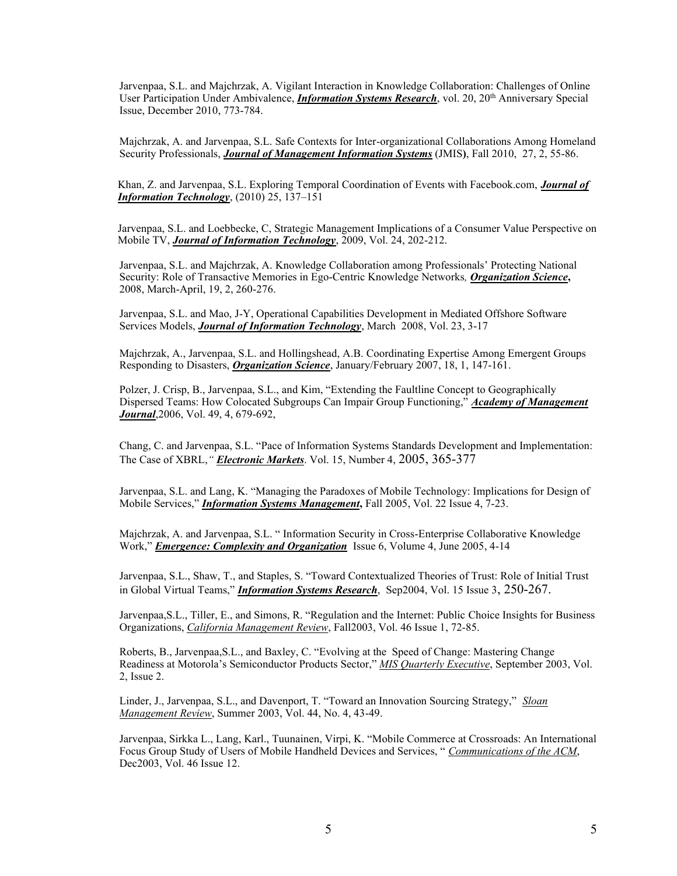Jarvenpaa, S.L. and Majchrzak, A. Vigilant Interaction in Knowledge Collaboration: Challenges of Online User Participation Under Ambivalence, *Information Systems Research*, vol. 20, 20<sup>th</sup> Anniversary Special Issue, December 2010, 773-784.

Majchrzak, A. and Jarvenpaa, S.L. Safe Contexts for Inter-organizational Collaborations Among Homeland Security Professionals, *Journal of Management Information Systems* (JMIS**)**, Fall 2010, 27, 2, 55-86.

Khan, Z. and Jarvenpaa, S.L. Exploring Temporal Coordination of Events with Facebook.com, *Journal of Information Technology*, (2010) 25, 137-151

Jarvenpaa, S.L. and Loebbecke, C, Strategic Management Implications of a Consumer Value Perspective on Mobile TV, *Journal of Information Technology*, 2009, Vol. 24, 202-212.

Jarvenpaa, S.L. and Majchrzak, A. Knowledge Collaboration among Professionals' Protecting National Security: Role of Transactive Memories in Ego-Centric Knowledge Networks*, Organization Science***,** 2008, March-April, 19, 2, 260-276.

Jarvenpaa, S.L. and Mao, J-Y, Operational Capabilities Development in Mediated Offshore Software Services Models, *Journal of Information Technology*, March 2008, Vol. 23, 3-17

Majchrzak, A., Jarvenpaa, S.L. and Hollingshead, A.B. Coordinating Expertise Among Emergent Groups Responding to Disasters, *Organization Science*, January/February 2007, 18, 1, 147-161.

Polzer, J. Crisp, B., Jarvenpaa, S.L., and Kim, "Extending the Faultline Concept to Geographically Dispersed Teams: How Colocated Subgroups Can Impair Group Functioning," **Academy of Management** *Journal*,2006, Vol. 49, 4, 679-692,

Chang, C. and Jarvenpaa, S.L. "Pace of Information Systems Standards Development and Implementation: The Case of XBRL,*³Electronic Markets*. Vol. 15, Number 4, 2005, 365-377

Jarvenpaa, S.L. and Lang, K. "Managing the Paradoxes of Mobile Technology: Implications for Design of Mobile Services," *Information Systems Management*, Fall 2005, Vol. 22 Issue 4, 7-23.

Majchrzak, A. and Jarvenpaa, S.L. "Information Security in Cross-Enterprise Collaborative Knowledge Work," *Emergence: Complexity and Organization* Issue 6, Volume 4, June 2005, 4-14

Jarvenpaa, S.L., Shaw, T., and Staples, S. "Toward Contextualized Theories of Trust: Role of Initial Trust in Global Virtual Teams," *Information Systems Research*, Sep2004, Vol. 15 Issue 3, 250-267.

Jarvenpaa, S.L., Tiller, E., and Simons, R. "Regulation and the Internet: Public Choice Insights for Business Organizations, *California Management Review*, Fall2003, Vol. 46 Issue 1, 72-85.

Roberts, B., Jarvenpaa, S.L., and Baxley, C. "Evolving at the Speed of Change: Mastering Change Readiness at Motorola's Semiconductor Products Sector," MIS Quarterly Executive, September 2003, Vol. 2, Issue 2.

Linder, J., Jarvenpaa, S.L., and Davenport, T. "Toward an Innovation Sourcing Strategy," *Sloan Management Review*, Summer 2003, Vol. 44, No. 4, 43-49.

Jarvenpaa, Sirkka L., Lang, Karl., Tuunainen, Virpi, K. "Mobile Commerce at Crossroads: An International Focus Group Study of Users of Mobile Handheld Devices and Services, "Communications of the ACM, Dec2003, Vol. 46 Issue 12.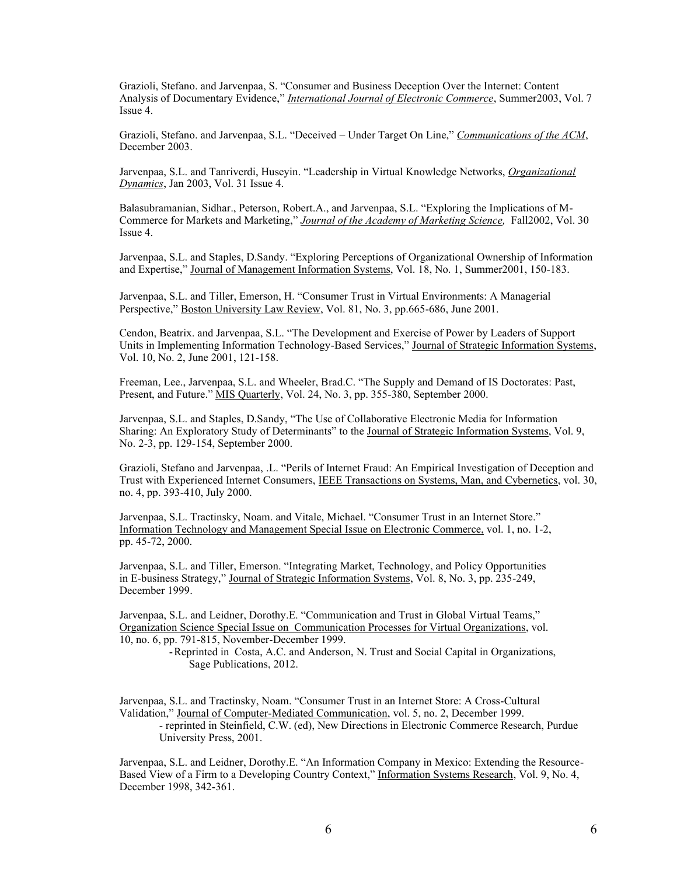Grazioli, Stefano. and Jarvenpaa, S. "Consumer and Business Deception Over the Internet: Content Analysis of Documentary Evidence," *International Journal of Electronic Commerce*, Summer2003, Vol. 7 Issue 4.

Grazioli, Stefano. and Jarvenpaa, S.L. "Deceived – Under Target On Line," Communications of the ACM, December 2003.

Jarvenpaa, S.L. and Tanriverdi, Huseyin. "Leadership in Virtual Knowledge Networks, *Organizational Dynamics*, Jan 2003, Vol. 31 Issue 4.

Balasubramanian, Sidhar., Peterson, Robert.A., and Jarvenpaa, S.L. "Exploring the Implications of M-Commerce for Markets and Marketing,´*Journal of the Academy of Marketing Science,* Fall2002, Vol. 30 Issue 4.

Jarvenpaa, S.L. and Staples, D.Sandy. "Exploring Perceptions of Organizational Ownership of Information and Expertise," Journal of Management Information Systems, Vol. 18, No. 1, Summer2001, 150-183.

Jarvenpaa, S.L. and Tiller, Emerson, H. "Consumer Trust in Virtual Environments: A Managerial Perspective," Boston University Law Review, Vol. 81, No. 3, pp.665-686, June 2001.

Cendon, Beatrix. and Jarvenpaa, S.L. "The Development and Exercise of Power by Leaders of Support Units in Implementing Information Technology-Based Services," Journal of Strategic Information Systems, Vol. 10, No. 2, June 2001, 121-158.

Freeman, Lee., Jarvenpaa, S.L. and Wheeler, Brad.C. "The Supply and Demand of IS Doctorates: Past, Present, and Future." MIS Quarterly, Vol. 24, No. 3, pp. 355-380, September 2000.

Jarvenpaa, S.L. and Staples, D.Sandy, "The Use of Collaborative Electronic Media for Information Sharing: An Exploratory Study of Determinants" to the Journal of Strategic Information Systems, Vol. 9, No. 2-3, pp. 129-154, September 2000.

Grazioli, Stefano and Jarvenpaa, .L. "Perils of Internet Fraud: An Empirical Investigation of Deception and Trust with Experienced Internet Consumers, IEEE Transactions on Systems, Man, and Cybernetics, vol. 30, no. 4, pp. 393-410, July 2000.

Jarvenpaa, S.L. Tractinsky, Noam. and Vitale, Michael. "Consumer Trust in an Internet Store." Information Technology and Management Special Issue on Electronic Commerce, vol. 1, no. 1-2, pp. 45-72, 2000.

Jarvenpaa, S.L. and Tiller, Emerson. "Integrating Market, Technology, and Policy Opportunities in E-business Strategy," Journal of Strategic Information Systems, Vol. 8, No. 3, pp. 235-249, December 1999.

Jarvenpaa, S.L. and Leidner, Dorothy.E. "Communication and Trust in Global Virtual Teams," Organization Science Special Issue on Communication Processes for Virtual Organizations, vol. 10, no. 6, pp. 791-815, November-December 1999.

> -Reprinted in Costa, A.C. and Anderson, N. Trust and Social Capital in Organizations, Sage Publications, 2012.

Jarvenpaa, S.L. and Tractinsky, Noam. "Consumer Trust in an Internet Store: A Cross-Cultural Validation," Journal of Computer-Mediated Communication, vol. 5, no. 2, December 1999.

- reprinted in Steinfield, C.W. (ed), New Directions in Electronic Commerce Research, Purdue University Press, 2001.

Jarvenpaa, S.L. and Leidner, Dorothy.E. "An Information Company in Mexico: Extending the Resource-Based View of a Firm to a Developing Country Context," Information Systems Research, Vol. 9, No. 4, December 1998, 342-361.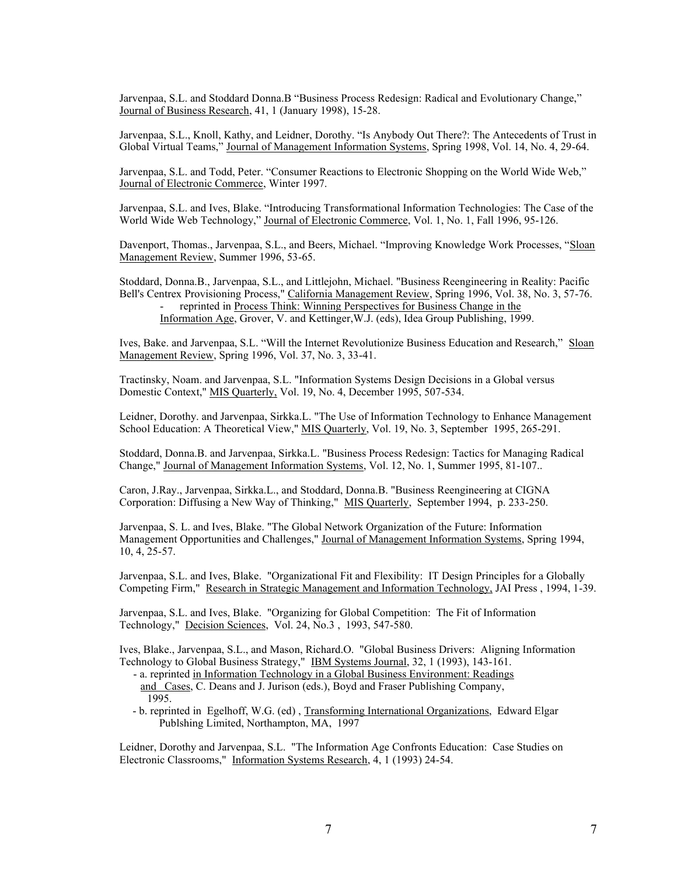Jarvenpaa, S.L. and Stoddard Donna.B "Business Process Redesign: Radical and Evolutionary Change," Journal of Business Research, 41, 1 (January 1998), 15-28.

Jarvenpaa, S.L., Knoll, Kathy, and Leidner, Dorothy. "Is Anybody Out There?: The Antecedents of Trust in Global Virtual Teams," Journal of Management Information Systems, Spring 1998, Vol. 14, No. 4, 29-64.

Jarvenpaa, S.L. and Todd, Peter. "Consumer Reactions to Electronic Shopping on the World Wide Web," Journal of Electronic Commerce, Winter 1997.

Jarvenpaa, S.L. and Ives, Blake. "Introducing Transformational Information Technologies: The Case of the World Wide Web Technology," Journal of Electronic Commerce, Vol. 1, No. 1, Fall 1996, 95-126.

Davenport, Thomas., Jarvenpaa, S.L., and Beers, Michael. "Improving Knowledge Work Processes, "Sloan Management Review, Summer 1996, 53-65.

Stoddard, Donna.B., Jarvenpaa, S.L., and Littlejohn, Michael. "Business Reengineering in Reality: Pacific Bell's Centrex Provisioning Process," California Management Review, Spring 1996, Vol. 38, No. 3, 57-76. reprinted in Process Think: Winning Perspectives for Business Change in the Information Age, Grover, V. and Kettinger,W.J. (eds), Idea Group Publishing, 1999.

Ives, Bake. and Jarvenpaa, S.L. "Will the Internet Revolutionize Business Education and Research," Sloan Management Review, Spring 1996, Vol. 37, No. 3, 33-41.

Tractinsky, Noam. and Jarvenpaa, S.L. "Information Systems Design Decisions in a Global versus Domestic Context," MIS Quarterly, Vol. 19, No. 4, December 1995, 507-534.

Leidner, Dorothy. and Jarvenpaa, Sirkka.L. "The Use of Information Technology to Enhance Management School Education: A Theoretical View," MIS Quarterly, Vol. 19, No. 3, September 1995, 265-291.

Stoddard, Donna.B. and Jarvenpaa, Sirkka.L. "Business Process Redesign: Tactics for Managing Radical Change," Journal of Management Information Systems, Vol. 12, No. 1, Summer 1995, 81-107..

Caron, J.Ray., Jarvenpaa, Sirkka.L., and Stoddard, Donna.B. "Business Reengineering at CIGNA Corporation: Diffusing a New Way of Thinking," MIS Quarterly, September 1994, p. 233-250.

Jarvenpaa, S. L. and Ives, Blake. "The Global Network Organization of the Future: Information Management Opportunities and Challenges," Journal of Management Information Systems, Spring 1994, 10, 4, 25-57.

Jarvenpaa, S.L. and Ives, Blake. "Organizational Fit and Flexibility: IT Design Principles for a Globally Competing Firm," Research in Strategic Management and Information Technology, JAI Press , 1994, 1-39.

Jarvenpaa, S.L. and Ives, Blake. "Organizing for Global Competition: The Fit of Information Technology," Decision Sciences, Vol. 24, No.3 , 1993, 547-580.

Ives, Blake., Jarvenpaa, S.L., and Mason, Richard.O. "Global Business Drivers: Aligning Information Technology to Global Business Strategy," IBM Systems Journal, 32, 1 (1993), 143-161.

- a. reprinted in Information Technology in a Global Business Environment: Readings and Cases, C. Deans and J. Jurison (eds.), Boyd and Fraser Publishing Company, 1995.
- b. reprinted in Egelhoff, W.G. (ed) , Transforming International Organizations, Edward Elgar Publshing Limited, Northampton, MA, 1997

Leidner, Dorothy and Jarvenpaa, S.L. "The Information Age Confronts Education: Case Studies on Electronic Classrooms," Information Systems Research, 4, 1 (1993) 24-54.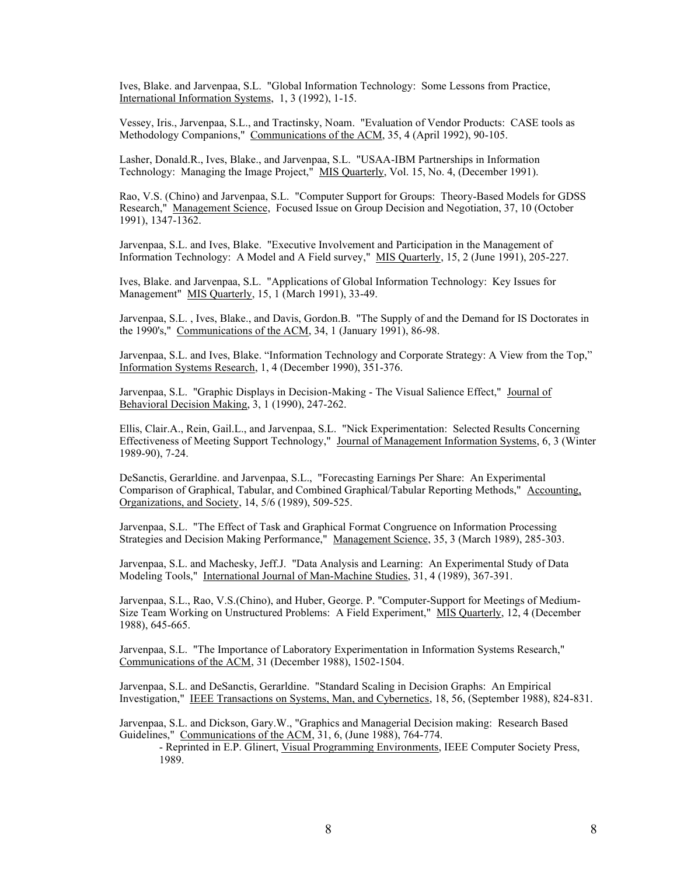Ives, Blake. and Jarvenpaa, S.L. "Global Information Technology: Some Lessons from Practice, International Information Systems, 1, 3 (1992), 1-15.

Vessey, Iris., Jarvenpaa, S.L., and Tractinsky, Noam. "Evaluation of Vendor Products: CASE tools as Methodology Companions," Communications of the ACM, 35, 4 (April 1992), 90-105.

Lasher, Donald.R., Ives, Blake., and Jarvenpaa, S.L. "USAA-IBM Partnerships in Information Technology: Managing the Image Project," MIS Quarterly, Vol. 15, No. 4, (December 1991).

Rao, V.S. (Chino) and Jarvenpaa, S.L. "Computer Support for Groups: Theory-Based Models for GDSS Research," Management Science, Focused Issue on Group Decision and Negotiation, 37, 10 (October 1991), 1347-1362.

Jarvenpaa, S.L. and Ives, Blake. "Executive Involvement and Participation in the Management of Information Technology: A Model and A Field survey," MIS Quarterly, 15, 2 (June 1991), 205-227.

Ives, Blake. and Jarvenpaa, S.L. "Applications of Global Information Technology: Key Issues for Management" MIS Quarterly, 15, 1 (March 1991), 33-49.

Jarvenpaa, S.L. , Ives, Blake., and Davis, Gordon.B. "The Supply of and the Demand for IS Doctorates in the 1990's," Communications of the ACM, 34, 1 (January 1991), 86-98.

Jarvenpaa, S.L. and Ives, Blake. "Information Technology and Corporate Strategy: A View from the Top," Information Systems Research, 1, 4 (December 1990), 351-376.

Jarvenpaa, S.L. "Graphic Displays in Decision-Making - The Visual Salience Effect," Journal of Behavioral Decision Making, 3, 1 (1990), 247-262.

Ellis, Clair.A., Rein, Gail.L., and Jarvenpaa, S.L. "Nick Experimentation: Selected Results Concerning Effectiveness of Meeting Support Technology," Journal of Management Information Systems, 6, 3 (Winter 1989-90), 7-24.

DeSanctis, Gerarldine. and Jarvenpaa, S.L., "Forecasting Earnings Per Share: An Experimental Comparison of Graphical, Tabular, and Combined Graphical/Tabular Reporting Methods," Accounting, Organizations, and Society, 14, 5/6 (1989), 509-525.

Jarvenpaa, S.L. "The Effect of Task and Graphical Format Congruence on Information Processing Strategies and Decision Making Performance," Management Science, 35, 3 (March 1989), 285-303.

Jarvenpaa, S.L. and Machesky, Jeff.J. "Data Analysis and Learning: An Experimental Study of Data Modeling Tools," International Journal of Man-Machine Studies, 31, 4 (1989), 367-391.

Jarvenpaa, S.L., Rao, V.S.(Chino), and Huber, George. P. "Computer-Support for Meetings of Medium-Size Team Working on Unstructured Problems: A Field Experiment," MIS Quarterly, 12, 4 (December 1988), 645-665.

Jarvenpaa, S.L. "The Importance of Laboratory Experimentation in Information Systems Research," Communications of the ACM, 31 (December 1988), 1502-1504.

Jarvenpaa, S.L. and DeSanctis, Gerarldine. "Standard Scaling in Decision Graphs: An Empirical Investigation," IEEE Transactions on Systems, Man, and Cybernetics, 18, 56, (September 1988), 824-831.

Jarvenpaa, S.L. and Dickson, Gary.W., "Graphics and Managerial Decision making: Research Based Guidelines," Communications of the ACM, 31, 6, (June 1988), 764-774.

- Reprinted in E.P. Glinert, Visual Programming Environments, IEEE Computer Society Press, 1989.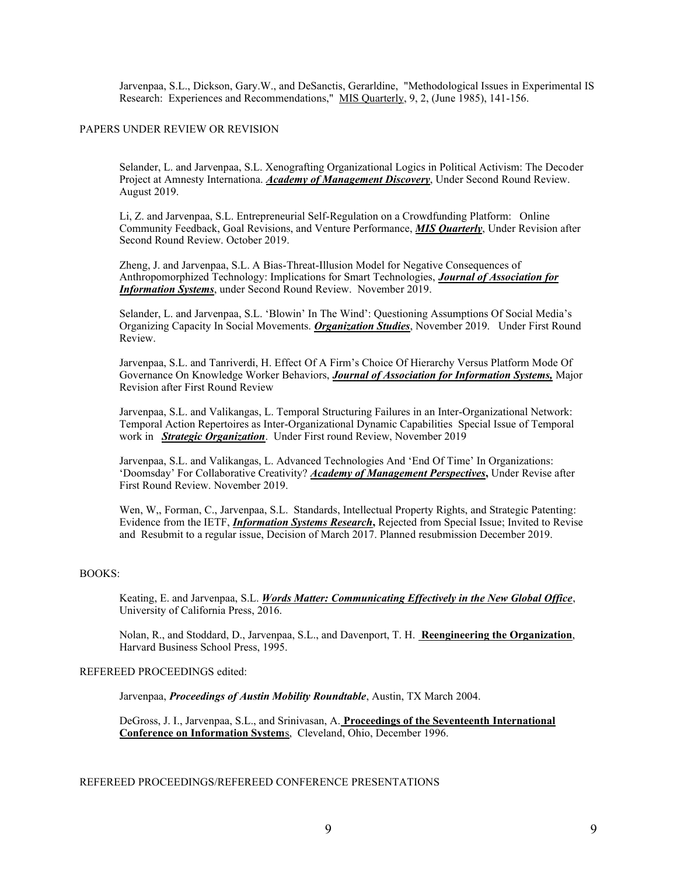Jarvenpaa, S.L., Dickson, Gary.W., and DeSanctis, Gerarldine, "Methodological Issues in Experimental IS Research: Experiences and Recommendations," MIS Quarterly, 9, 2, (June 1985), 141-156.

## PAPERS UNDER REVIEW OR REVISION

Selander, L. and Jarvenpaa, S.L. Xenografting Organizational Logics in Political Activism: The Decoder Project at Amnesty Internationa. *Academy of Management Discovery*, Under Second Round Review. August 2019.

Li, Z. and Jarvenpaa, S.L. Entrepreneurial Self-Regulation on a Crowdfunding Platform: Online Community Feedback, Goal Revisions, and Venture Performance, *MIS Quarterly*, Under Revision after Second Round Review. October 2019.

Zheng, J. and Jarvenpaa, S.L. A Bias-Threat-Illusion Model for Negative Consequences of Anthropomorphized Technology: Implications for Smart Technologies, *Journal of Association for Information Systems*, under Second Round Review. November 2019.

Selander, L. and Jarvenpaa, S.L. 'Blowin' In The Wind': Questioning Assumptions Of Social Media's Organizing Capacity In Social Movements. *Organization Studies*, November 2019. Under First Round Review.

Jarvenpaa, S.L. and Tanriverdi, H. Effect Of A Firm's Choice Of Hierarchy Versus Platform Mode Of Governance On Knowledge Worker Behaviors, *Journal of Association for Information Systems,* Major Revision after First Round Review

Jarvenpaa, S.L. and Valikangas, L. Temporal Structuring Failures in an Inter-Organizational Network: Temporal Action Repertoires as Inter-Organizational Dynamic Capabilities Special Issue of Temporal work in *Strategic Organization*. Under First round Review, November 2019

Jarvenpaa, S.L. and Valikangas, L. Advanced Technologies And 'End Of Time' In Organizations: 'Doomsday' For Collaborative Creativity? *Academy of Management Perspectives*, Under Revise after First Round Review. November 2019.

Wen, W,, Forman, C., Jarvenpaa, S.L. Standards, Intellectual Property Rights, and Strategic Patenting: Evidence from the IETF, *Information Systems Research***,** Rejected from Special Issue; Invited to Revise and Resubmit to a regular issue, Decision of March 2017. Planned resubmission December 2019.

# BOOKS:

Keating, E. and Jarvenpaa, S.L. *Words Matter: Communicating Effectively in the New Global Office*, University of California Press, 2016.

Nolan, R., and Stoddard, D., Jarvenpaa, S.L., and Davenport, T. H. **Reengineering the Organization**, Harvard Business School Press, 1995.

# REFEREED PROCEEDINGS edited:

Jarvenpaa, *Proceedings of Austin Mobility Roundtable*, Austin, TX March 2004.

DeGross, J. I., Jarvenpaa, S.L., and Srinivasan, A. **Proceedings of the Seventeenth International Conference on Information System**s, Cleveland, Ohio, December 1996.

# REFEREED PROCEEDINGS/REFEREED CONFERENCE PRESENTATIONS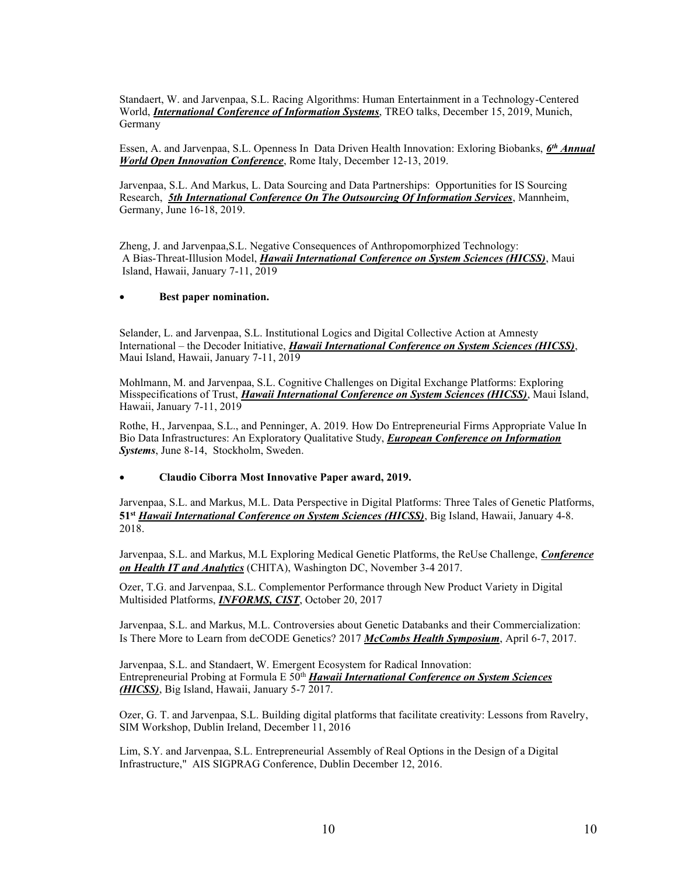Standaert, W. and Jarvenpaa, S.L. Racing Algorithms: Human Entertainment in a Technology-Centered World, *International Conference of Information Systems*, TREO talks, December 15, 2019, Munich, Germany

Essen, A. and Jarvenpaa, S.L. Openness In Data Driven Health Innovation: Exloring Biobanks, *6th Annual World Open Innovation Conference*, Rome Italy, December 12-13, 2019.

Jarvenpaa, S.L. And Markus, L. Data Sourcing and Data Partnerships: Opportunities for IS Sourcing Research,*5th International Conference On The Outsourcing Of Information Services*, Mannheim, Germany, June 16-18, 2019.

Zheng, J. and Jarvenpaa,S.L. Negative Consequences of Anthropomorphized Technology: A Bias-Threat-Illusion Model, *Hawaii International Conference on System Sciences (HICSS)*, Maui Island, Hawaii, January 7-11, 2019

# Best paper nomination.

Selander, L. and Jarvenpaa, S.L. Institutional Logics and Digital Collective Action at Amnesty International – the Decoder Initiative, *Hawaii International Conference on System Sciences (HICSS)*, Maui Island, Hawaii, January 7-11, 2019

Mohlmann, M. and Jarvenpaa, S.L. Cognitive Challenges on Digital Exchange Platforms: Exploring Misspecifications of Trust, *Hawaii International Conference on System Sciences (HICSS)*, Maui Island, Hawaii, January 7-11, 2019

Rothe, H., Jarvenpaa, S.L., and Penninger, A. 2019. How Do Entrepreneurial Firms Appropriate Value In Bio Data Infrastructures: An Exploratory Qualitative Study, *European Conference on Information Systems*, June 8-14, Stockholm, Sweden.

# x **Claudio Ciborra Most Innovative Paper award, 2019.**

Jarvenpaa, S.L. and Markus, M.L. Data Perspective in Digital Platforms: Three Tales of Genetic Platforms, **51st** *Hawaii International Conference on System Sciences (HICSS)*, Big Island, Hawaii, January 4-8. 2018.

Jarvenpaa, S.L. and Markus, M.L Exploring Medical Genetic Platforms, the ReUse Challenge, *Conference on Health IT and Analytics* (CHITA), Washington DC, November 3-4 2017.

Ozer, T.G. and Jarvenpaa, S.L. Complementor Performance through New Product Variety in Digital Multisided Platforms, *INFORMS, CIST*, October 20, 2017

Jarvenpaa, S.L. and Markus, M.L. Controversies about Genetic Databanks and their Commercialization: Is There More to Learn from deCODE Genetics? 2017 *McCombs Health Symposium*, April 6-7, 2017.

Jarvenpaa, S.L. and Standaert, W. Emergent Ecosystem for Radical Innovation: Entrepreneurial Probing at Formula E 50<sup>th</sup> *Hawaii International Conference on System Sciences (HICSS)*, Big Island, Hawaii, January 5-7 2017.

Ozer, G. T. and Jarvenpaa, S.L. Building digital platforms that facilitate creativity: Lessons from Ravelry, SIM Workshop, Dublin Ireland, December 11, 2016

Lim, S.Y. and Jarvenpaa, S.L. Entrepreneurial Assembly of Real Options in the Design of a Digital Infrastructure," AIS SIGPRAG Conference, Dublin December 12, 2016.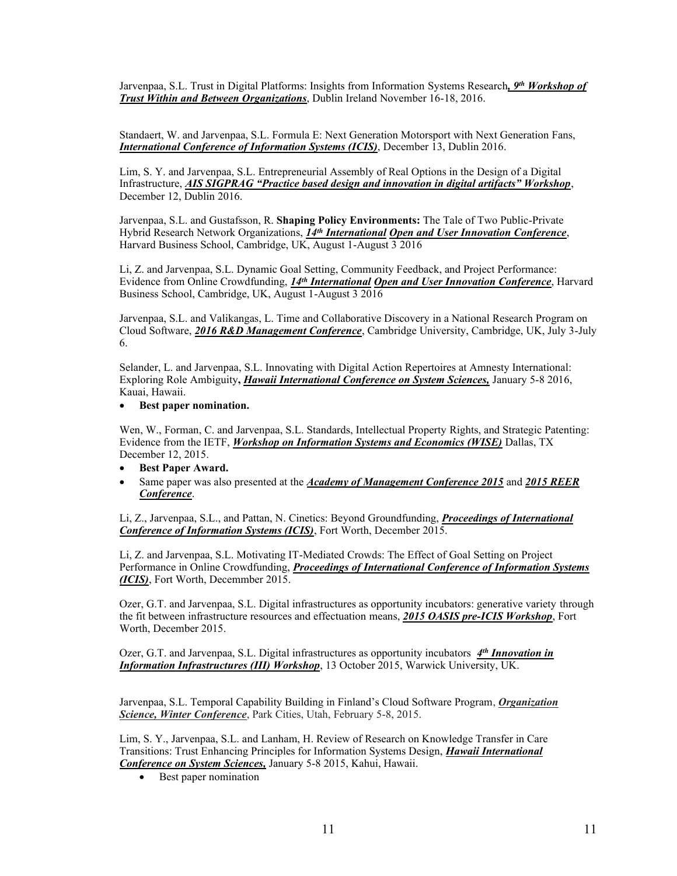Jarvenpaa, S.L. Trust in Digital Platforms: Insights from Information Systems Research*, 9th Workshop of Trust Within and Between Organizations*, Dublin Ireland November 16-18, 2016.

Standaert, W. and Jarvenpaa, S.L. Formula E: Next Generation Motorsport with Next Generation Fans, *International Conference of Information Systems (ICIS)*, December 13, Dublin 2016.

Lim, S. Y. and Jarvenpaa, S.L. Entrepreneurial Assembly of Real Options in the Design of a Digital Infrastructure, *AIS SIGPRAG* "Practice based design and innovation in digital artifacts" Workshop, December 12, Dublin 2016.

Jarvenpaa, S.L. and Gustafsson, R. **Shaping Policy Environments:** The Tale of Two Public-Private Hybrid Research Network Organizations, *14th International Open and User Innovation Conference*, Harvard Business School, Cambridge, UK, August 1-August 3 2016

Li, Z. and Jarvenpaa, S.L. Dynamic Goal Setting, Community Feedback, and Project Performance: Evidence from Online Crowdfunding, *14th International Open and User Innovation Conference*, Harvard Business School, Cambridge, UK, August 1-August 3 2016

Jarvenpaa, S.L. and Valikangas, L. Time and Collaborative Discovery in a National Research Program on Cloud Software, *2016 R&D Management Conference*, Cambridge University, Cambridge, UK, July 3-July 6.

Selander, L. and Jarvenpaa, S.L. Innovating with Digital Action Repertoires at Amnesty International: Exploring Role Ambiguity**,** *Hawaii International Conference on System Sciences,* January 5-8 2016, Kauai, Hawaii.

# **•** Best paper nomination.

Wen, W., Forman, C. and Jarvenpaa, S.L. Standards, Intellectual Property Rights, and Strategic Patenting: Evidence from the IETF, *Workshop on Information Systems and Economics (WISE)* Dallas, TX December 12, 2015.

- **•** Best Paper Award.
- x Same paper was also presented at the *Academy of Management Conference 2015* and *2015 REER Conference*.

Li, Z., Jarvenpaa, S.L., and Pattan, N. Cinetics: Beyond Groundfunding, *Proceedings of International Conference of Information Systems (ICIS)*, Fort Worth, December 2015.

Li, Z. and Jarvenpaa, S.L. Motivating IT-Mediated Crowds: The Effect of Goal Setting on Project Performance in Online Crowdfunding, *Proceedings of International Conference of Information Systems (ICIS)*, Fort Worth, Decemmber 2015.

Ozer, G.T. and Jarvenpaa, S.L. Digital infrastructures as opportunity incubators: generative variety through the fit between infrastructure resources and effectuation means, *2015 OASIS pre-ICIS Workshop*, Fort Worth, December 2015.

Ozer, G.T. and Jarvenpaa, S.L. Digital infrastructures as opportunity incubators *4th Innovation in Information Infrastructures (III) Workshop*, 13 October 2015, Warwick University, UK.

Jarvenpaa, S.L. Temporal Capability Building in Finland's Cloud Software Program, *Organization Science, Winter Conference*, Park Cities, Utah, February 5-8, 2015.

Lim, S. Y., Jarvenpaa, S.L. and Lanham, H. Review of Research on Knowledge Transfer in Care Transitions: Trust Enhancing Principles for Information Systems Design, *Hawaii International Conference on System Sciences,* January 5-8 2015, Kahui, Hawaii.

• Best paper nomination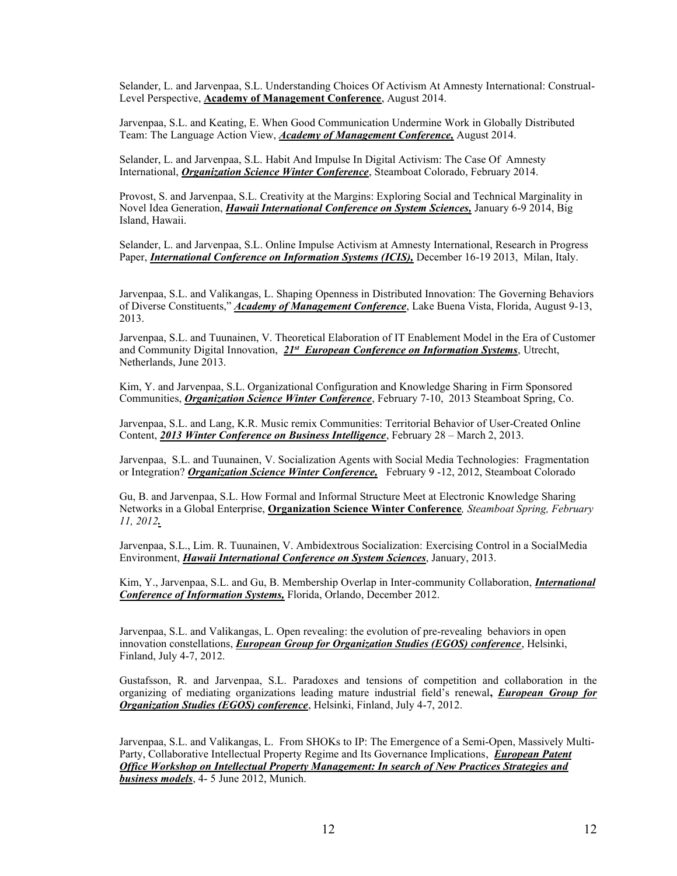Selander, L. and Jarvenpaa, S.L. Understanding Choices Of Activism At Amnesty International: Construal-Level Perspective, **Academy of Management Conference**, August 2014.

Jarvenpaa, S.L. and Keating, E. When Good Communication Undermine Work in Globally Distributed Team: The Language Action View, *Academy of Management Conference,* August 2014.

Selander, L. and Jarvenpaa, S.L. Habit And Impulse In Digital Activism: The Case Of Amnesty International, *Organization Science Winter Conference*, Steamboat Colorado, February 2014.

Provost, S. and Jarvenpaa, S.L. Creativity at the Margins: Exploring Social and Technical Marginality in Novel Idea Generation, *Hawaii International Conference on System Sciences,* January 6-9 2014, Big Island, Hawaii.

Selander, L. and Jarvenpaa, S.L. Online Impulse Activism at Amnesty International, Research in Progress Paper, *International Conference on Information Systems (ICIS),* December 16-19 2013, Milan, Italy.

Jarvenpaa, S.L. and Valikangas, L. Shaping Openness in Distributed Innovation: The Governing Behaviors of Diverse Constituents," *Academy of Management Conference*, Lake Buena Vista, Florida, August 9-13, 2013.

Jarvenpaa, S.L. and Tuunainen, V. Theoretical Elaboration of IT Enablement Model in the Era of Customer and Community Digital Innovation, *21st European Conference on Information Systems*, Utrecht, Netherlands, June 2013.

Kim, Y. and Jarvenpaa, S.L. Organizational Configuration and Knowledge Sharing in Firm Sponsored Communities, *Organization Science Winter Conference*, February 7-10, 2013 Steamboat Spring, Co.

Jarvenpaa, S.L. and Lang, K.R. Music remix Communities: Territorial Behavior of User-Created Online Content, *2013 Winter Conference on Business Intelligence*, February 28 – March 2, 2013.

Jarvenpaa, S.L. and Tuunainen, V. Socialization Agents with Social Media Technologies: Fragmentation or Integration? *Organization Science Winter Conference,* February 9 -12, 2012, Steamboat Colorado

Gu, B. and Jarvenpaa, S.L. How Formal and Informal Structure Meet at Electronic Knowledge Sharing Networks in a Global Enterprise, **Organization Science Winter Conference***, Steamboat Spring, February 11, 2012.*

Jarvenpaa, S.L., Lim. R. Tuunainen, V. Ambidextrous Socialization: Exercising Control in a SocialMedia Environment, *Hawaii International Conference on System Sciences*, January, 2013.

Kim, Y., Jarvenpaa, S.L. and Gu, B. Membership Overlap in Inter-community Collaboration, *International Conference of Information Systems,* Florida, Orlando, December 2012.

Jarvenpaa, S.L. and Valikangas, L. Open revealing: the evolution of pre-revealing behaviors in open innovation constellations, *European Group for Organization Studies (EGOS) conference*, Helsinki, Finland, July 4-7, 2012.

Gustafsson, R. and Jarvenpaa, S.L. Paradoxes and tensions of competition and collaboration in the organizing of mediating organizations leading mature industrial field's renewal, *European Group for Organization Studies (EGOS) conference*, Helsinki, Finland, July 4-7, 2012.

Jarvenpaa, S.L. and Valikangas, L. From SHOKs to IP: The Emergence of a Semi-Open, Massively Multi-Party, Collaborative Intellectual Property Regime and Its Governance Implications, *European Patent Office Workshop on Intellectual Property Management: In search of New Practices Strategies and business models*, 4- 5 June 2012, Munich.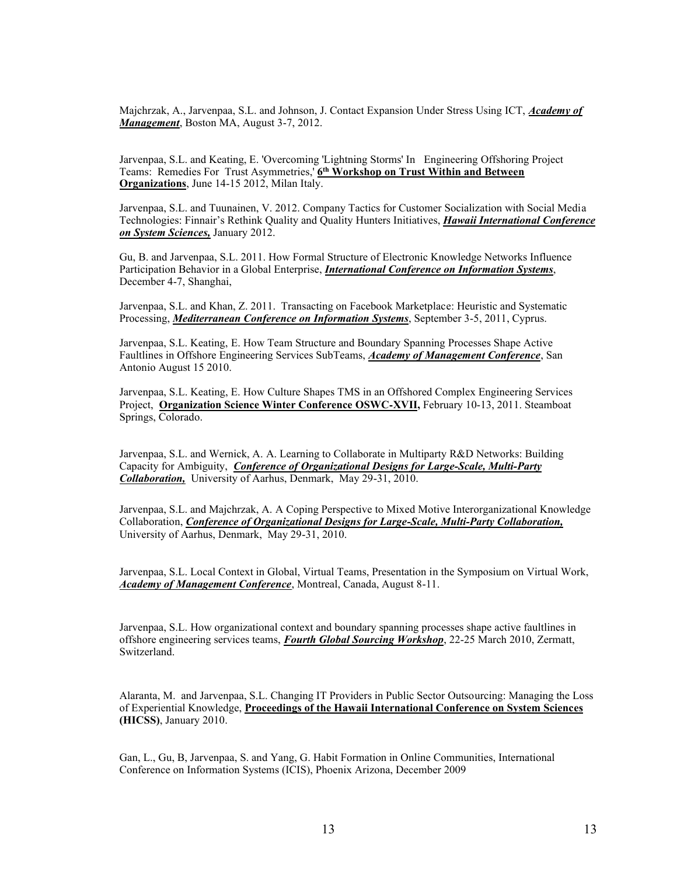Majchrzak, A., Jarvenpaa, S.L. and Johnson, J. Contact Expansion Under Stress Using ICT, *Academy of Management*, Boston MA, August 3-7, 2012.

Jarvenpaa, S.L. and Keating, E. 'Overcoming 'Lightning Storms' In Engineering Offshoring Project Teams: Remedies For Trust Asymmetries,' **6th Workshop on Trust Within and Between Organizations**, June 14-15 2012, Milan Italy.

Jarvenpaa, S.L. and Tuunainen, V. 2012. Company Tactics for Customer Socialization with Social Media Technologies: Finnair's Rethink Quality and Quality Hunters Initiatives, *Hawaii International Conference on System Sciences,* January 2012.

Gu, B. and Jarvenpaa, S.L. 2011. How Formal Structure of Electronic Knowledge Networks Influence Participation Behavior in a Global Enterprise, *International Conference on Information Systems*, December 4-7, Shanghai,

Jarvenpaa, S.L. and Khan, Z. 2011. Transacting on Facebook Marketplace: Heuristic and Systematic Processing, *Mediterranean Conference on Information Systems*, September 3-5, 2011, Cyprus.

Jarvenpaa, S.L. Keating, E. How Team Structure and Boundary Spanning Processes Shape Active Faultlines in Offshore Engineering Services SubTeams, *Academy of Management Conference*, San Antonio August 15 2010.

Jarvenpaa, S.L. Keating, E. How Culture Shapes TMS in an Offshored Complex Engineering Services Project, **Organization Science Winter Conference OSWC**Ǧ**XVII,** February 10-13, 2011. Steamboat Springs, Colorado.

Jarvenpaa, S.L. and Wernick, A. A. Learning to Collaborate in Multiparty R&D Networks: Building Capacity for Ambiguity, *Conference of Organizational Designs for Large-Scale, Multi-Party Collaboration,* University of Aarhus, Denmark, May 29-31, 2010.

Jarvenpaa, S.L. and Majchrzak, A. A Coping Perspective to Mixed Motive Interorganizational Knowledge Collaboration, *Conference of Organizational Designs for Large-Scale, Multi-Party Collaboration,*  University of Aarhus, Denmark, May 29-31, 2010.

Jarvenpaa, S.L. Local Context in Global, Virtual Teams, Presentation in the Symposium on Virtual Work, *Academy of Management Conference*, Montreal, Canada, August 8-11.

Jarvenpaa, S.L. How organizational context and boundary spanning processes shape active faultlines in offshore engineering services teams, *Fourth Global Sourcing Workshop*, 22-25 March 2010, Zermatt, Switzerland.

Alaranta, M. and Jarvenpaa, S.L. Changing IT Providers in Public Sector Outsourcing: Managing the Loss of Experiential Knowledge, **Proceedings of the Hawaii International Conference on System Sciences (HICSS)**, January 2010.

Gan, L., Gu, B, Jarvenpaa, S. and Yang, G. Habit Formation in Online Communities, International Conference on Information Systems (ICIS), Phoenix Arizona, December 2009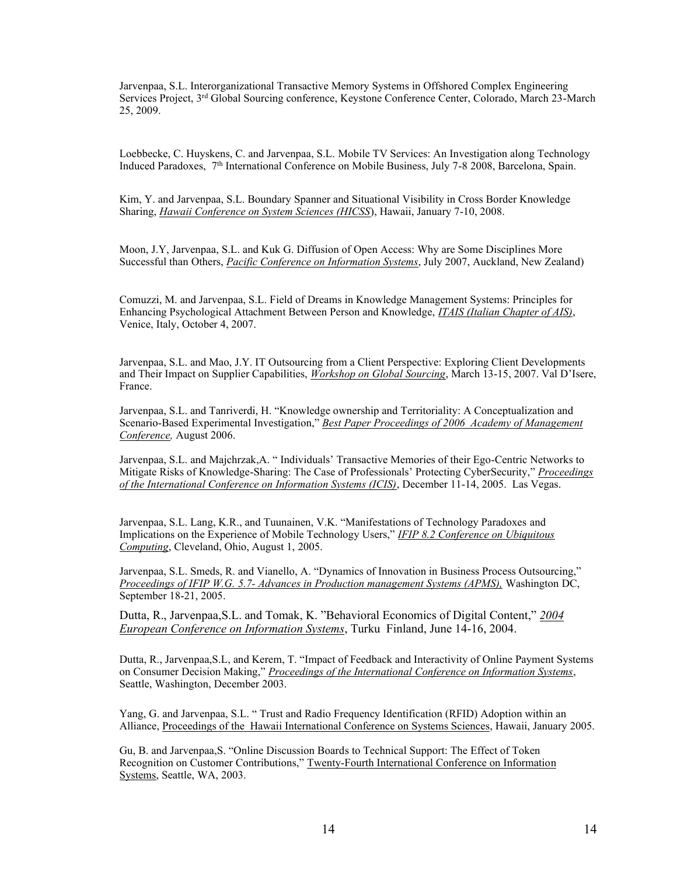Jarvenpaa, S.L. Interorganizational Transactive Memory Systems in Offshored Complex Engineering Services Project, 3rd Global Sourcing conference, Keystone Conference Center, Colorado, March 23-March 25, 2009.

Loebbecke, C. Huyskens, C. and Jarvenpaa, S.L. Mobile TV Services: An Investigation along Technology Induced Paradoxes, 7th International Conference on Mobile Business, July 7-8 2008, Barcelona, Spain.

Kim, Y. and Jarvenpaa, S.L. Boundary Spanner and Situational Visibility in Cross Border Knowledge Sharing, *Hawaii Conference on System Sciences (HICSS*), Hawaii, January 7-10, 2008.

Moon, J.Y, Jarvenpaa, S.L. and Kuk G. Diffusion of Open Access: Why are Some Disciplines More Successful than Others, *Pacific Conference on Information Systems*, July 2007, Auckland, New Zealand)

Comuzzi, M. and Jarvenpaa, S.L. Field of Dreams in Knowledge Management Systems: Principles for Enhancing Psychological Attachment Between Person and Knowledge, *ITAIS (Italian Chapter of AIS)*, Venice, Italy, October 4, 2007.

Jarvenpaa, S.L. and Mao, J.Y. IT Outsourcing from a Client Perspective: Exploring Client Developments and Their Impact on Supplier Capabilities, *Workshop on Global Sourcing*, March 13-15, 2007. Val D'Isere, France.

Jarvenpaa, S.L. and Tanriverdi, H. "Knowledge ownership and Territoriality: A Conceptualization and Scenario-Based Experimental Investigation," Best Paper Proceedings of 2006 Academy of Management *Conference,* August 2006.

Jarvenpaa, S.L. and Majchrzak, A. "Individuals' Transactive Memories of their Ego-Centric Networks to Mitigate Risks of Knowledge-Sharing: The Case of Professionals' Protecting CyberSecurity," *Proceedings of the International Conference on Information Systems (ICIS)*, December 11-14, 2005. Las Vegas.

Jarvenpaa, S.L. Lang, K.R., and Tuunainen, V.K. "Manifestations of Technology Paradoxes and Implications on the Experience of Mobile Technology Users," *IFIP 8.2 Conference on Ubiquitous Computing*, Cleveland, Ohio, August 1, 2005.

Jarvenpaa, S.L. Smeds, R. and Vianello, A. "Dynamics of Innovation in Business Process Outsourcing," *Proceedings of IFIP W.G. 5.7- Advances in Production management Systems (APMS),* Washington DC, September 18-21, 2005.

Dutta, R., Jarvenpaa, S.L. and Tomak, K. "Behavioral Economics of Digital Content," 2004 *European Conference on Information Systems*, Turku Finland, June 14-16, 2004.

Dutta, R., Jarvenpaa, S.L, and Kerem, T. "Impact of Feedback and Interactivity of Online Payment Systems on Consumer Decision Making," *Proceedings of the International Conference on Information Systems*, Seattle, Washington, December 2003.

Yang, G. and Jarvenpaa, S.L. "Trust and Radio Frequency Identification (RFID) Adoption within an Alliance, Proceedings of the Hawaii International Conference on Systems Sciences, Hawaii, January 2005.

Gu. B. and Jarvenpaa.S. "Online Discussion Boards to Technical Support: The Effect of Token Recognition on Customer Contributions," Twenty-Fourth International Conference on Information Systems, Seattle, WA, 2003.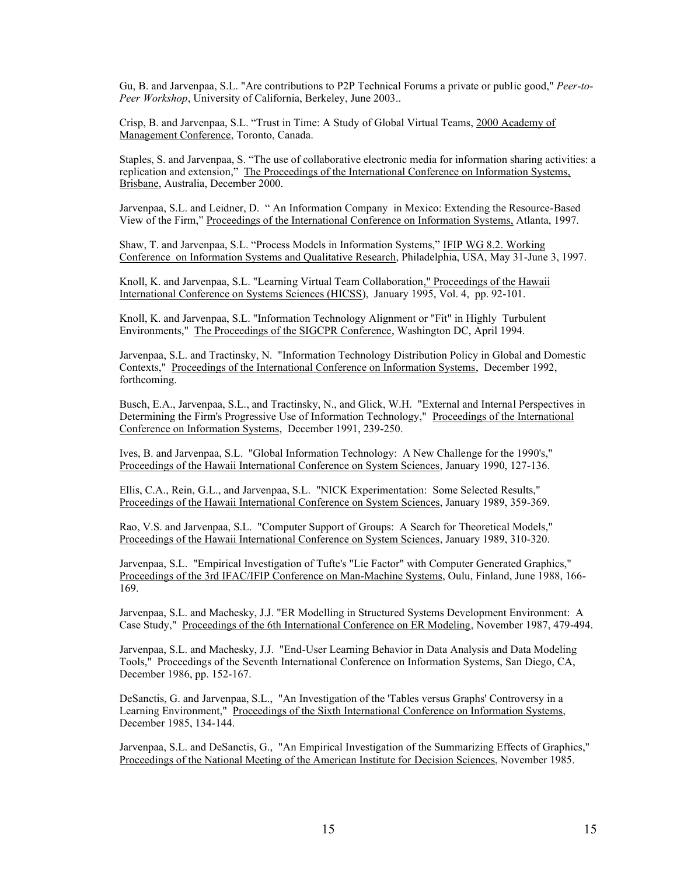Gu, B. and Jarvenpaa, S.L. "Are contributions to P2P Technical Forums a private or public good," *Peer-to-Peer Workshop*, University of California, Berkeley, June 2003..

Crisp, B. and Jarvenpaa, S.L. "Trust in Time: A Study of Global Virtual Teams, 2000 Academy of Management Conference, Toronto, Canada.

Staples, S. and Jarvenpaa, S. "The use of collaborative electronic media for information sharing activities: a replication and extension," The Proceedings of the International Conference on Information Systems, Brisbane, Australia, December 2000.

Jarvenpaa, S.L. and Leidner, D. " An Information Company in Mexico: Extending the Resource-Based View of the Firm," Proceedings of the International Conference on Information Systems, Atlanta, 1997.

Shaw, T. and Jarvenpaa, S.L. "Process Models in Information Systems," IFIP WG 8.2. Working Conference on Information Systems and Qualitative Research, Philadelphia, USA, May 31-June 3, 1997.

Knoll, K. and Jarvenpaa, S.L. "Learning Virtual Team Collaboration," Proceedings of the Hawaii International Conference on Systems Sciences (HICSS), January 1995, Vol. 4, pp. 92-101.

Knoll, K. and Jarvenpaa, S.L. "Information Technology Alignment or "Fit" in Highly Turbulent Environments," The Proceedings of the SIGCPR Conference, Washington DC, April 1994.

Jarvenpaa, S.L. and Tractinsky, N. "Information Technology Distribution Policy in Global and Domestic Contexts," Proceedings of the International Conference on Information Systems, December 1992, forthcoming.

Busch, E.A., Jarvenpaa, S.L., and Tractinsky, N., and Glick, W.H. "External and Internal Perspectives in Determining the Firm's Progressive Use of Information Technology," Proceedings of the International Conference on Information Systems, December 1991, 239-250.

Ives, B. and Jarvenpaa, S.L. "Global Information Technology: A New Challenge for the 1990's," Proceedings of the Hawaii International Conference on System Sciences, January 1990, 127-136.

Ellis, C.A., Rein, G.L., and Jarvenpaa, S.L. "NICK Experimentation: Some Selected Results," Proceedings of the Hawaii International Conference on System Sciences, January 1989, 359-369.

Rao, V.S. and Jarvenpaa, S.L. "Computer Support of Groups: A Search for Theoretical Models," Proceedings of the Hawaii International Conference on System Sciences, January 1989, 310-320.

Jarvenpaa, S.L. "Empirical Investigation of Tufte's "Lie Factor" with Computer Generated Graphics," Proceedings of the 3rd IFAC/IFIP Conference on Man-Machine Systems, Oulu, Finland, June 1988, 166- 169.

Jarvenpaa, S.L. and Machesky, J.J. "ER Modelling in Structured Systems Development Environment: A Case Study," Proceedings of the 6th International Conference on ER Modeling, November 1987, 479-494.

Jarvenpaa, S.L. and Machesky, J.J. "End-User Learning Behavior in Data Analysis and Data Modeling Tools," Proceedings of the Seventh International Conference on Information Systems, San Diego, CA, December 1986, pp. 152-167.

DeSanctis, G. and Jarvenpaa, S.L., "An Investigation of the 'Tables versus Graphs' Controversy in a Learning Environment," Proceedings of the Sixth International Conference on Information Systems, December 1985, 134-144.

Jarvenpaa, S.L. and DeSanctis, G., "An Empirical Investigation of the Summarizing Effects of Graphics," Proceedings of the National Meeting of the American Institute for Decision Sciences, November 1985.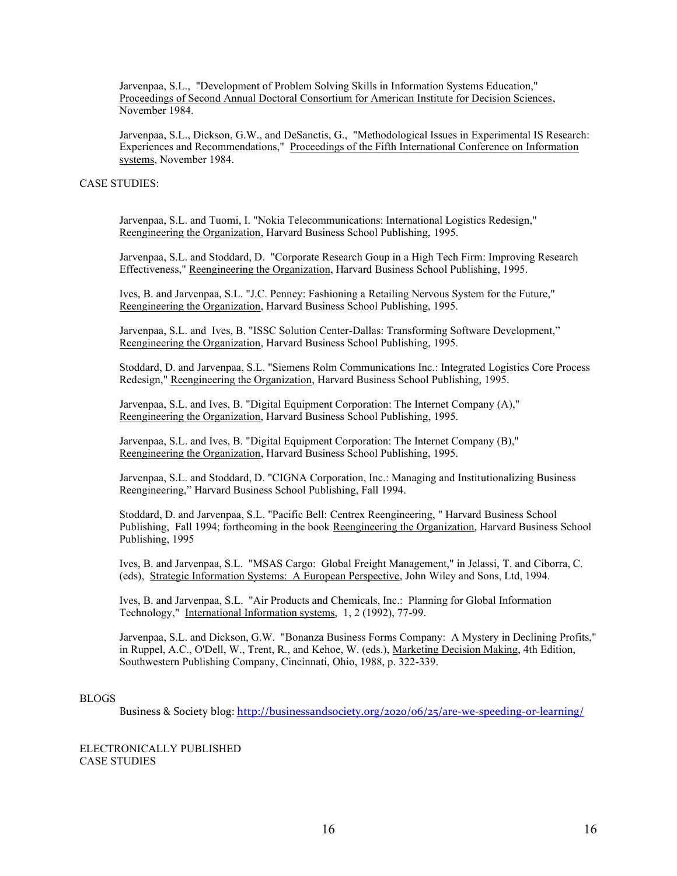Jarvenpaa, S.L., "Development of Problem Solving Skills in Information Systems Education," Proceedings of Second Annual Doctoral Consortium for American Institute for Decision Sciences, November 1984.

Jarvenpaa, S.L., Dickson, G.W., and DeSanctis, G., "Methodological Issues in Experimental IS Research: Experiences and Recommendations," Proceedings of the Fifth International Conference on Information systems, November 1984.

# CASE STUDIES:

Jarvenpaa, S.L. and Tuomi, I. "Nokia Telecommunications: International Logistics Redesign," Reengineering the Organization, Harvard Business School Publishing, 1995.

Jarvenpaa, S.L. and Stoddard, D. "Corporate Research Goup in a High Tech Firm: Improving Research Effectiveness," Reengineering the Organization, Harvard Business School Publishing, 1995.

Ives, B. and Jarvenpaa, S.L. "J.C. Penney: Fashioning a Retailing Nervous System for the Future," Reengineering the Organization, Harvard Business School Publishing, 1995.

Jarvenpaa, S.L. and Ives, B. "ISSC Solution Center-Dallas: Transforming Software Development," Reengineering the Organization, Harvard Business School Publishing, 1995.

Stoddard, D. and Jarvenpaa, S.L. "Siemens Rolm Communications Inc.: Integrated Logistics Core Process Redesign," Reengineering the Organization, Harvard Business School Publishing, 1995.

Jarvenpaa, S.L. and Ives, B. "Digital Equipment Corporation: The Internet Company (A)," Reengineering the Organization, Harvard Business School Publishing, 1995.

Jarvenpaa, S.L. and Ives, B. "Digital Equipment Corporation: The Internet Company (B)," Reengineering the Organization, Harvard Business School Publishing, 1995.

Jarvenpaa, S.L. and Stoddard, D. "CIGNA Corporation, Inc.: Managing and Institutionalizing Business Reengineering," Harvard Business School Publishing, Fall 1994.

Stoddard, D. and Jarvenpaa, S.L. "Pacific Bell: Centrex Reengineering, " Harvard Business School Publishing, Fall 1994; forthcoming in the book Reengineering the Organization, Harvard Business School Publishing, 1995

Ives, B. and Jarvenpaa, S.L. "MSAS Cargo: Global Freight Management," in Jelassi, T. and Ciborra, C. (eds), Strategic Information Systems: A European Perspective, John Wiley and Sons, Ltd, 1994.

Ives, B. and Jarvenpaa, S.L. "Air Products and Chemicals, Inc.: Planning for Global Information Technology," International Information systems, 1, 2 (1992), 77-99.

Jarvenpaa, S.L. and Dickson, G.W. "Bonanza Business Forms Company: A Mystery in Declining Profits," in Ruppel, A.C., O'Dell, W., Trent, R., and Kehoe, W. (eds.), Marketing Decision Making, 4th Edition, Southwestern Publishing Company, Cincinnati, Ohio, 1988, p. 322-339.

#### BLOGS

Business & Society blog: <http://businessandsociety.org/2020/06/25/are-we-speeding-or-learning/>

ELECTRONICALLY PUBLISHED CASE STUDIES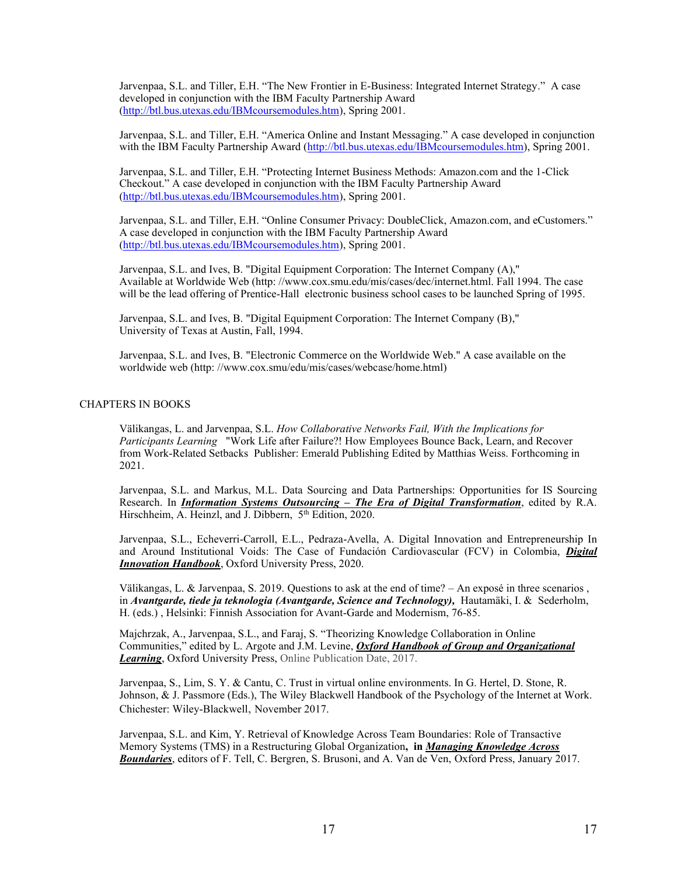Jarvenpaa, S.L. and Tiller, E.H. "The New Frontier in E-Business: Integrated Internet Strategy." A case developed in conjunction with the IBM Faculty Partnership Award [\(http://btl.bus.utexas.edu/IBMcoursemodules.htm\)](http://btl.bus.utexas.edu/IBMcoursemodules.htm), Spring 2001.

Jarvenpaa, S.L. and Tiller, E.H. "America Online and Instant Messaging." A case developed in conjunction with the IBM Faculty Partnership Award [\(http://btl.bus.utexas.edu/IBMcoursemodules.htm\)](http://btl.bus.utexas.edu/IBMcoursemodules.htm), Spring 2001.

Jarvenpaa, S.L. and Tiller, E.H. "Protecting Internet Business Methods: Amazon.com and the 1-Click Checkout." A case developed in conjunction with the IBM Faculty Partnership Award [\(http://btl.bus.utexas.edu/IBMcoursemodules.htm\)](http://btl.bus.utexas.edu/IBMcoursemodules.htm), Spring 2001.

Jarvenpaa, S.L. and Tiller, E.H. "Online Consumer Privacy: DoubleClick, Amazon.com, and eCustomers." A case developed in conjunction with the IBM Faculty Partnership Award [\(http://btl.bus.utexas.edu/IBMcoursemodules.htm\)](http://btl.bus.utexas.edu/IBMcoursemodules.htm), Spring 2001.

Jarvenpaa, S.L. and Ives, B. "Digital Equipment Corporation: The Internet Company (A)," Available at Worldwide Web (http: //www.cox.smu.edu/mis/cases/dec/internet.html. Fall 1994. The case will be the lead offering of Prentice-Hall electronic business school cases to be launched Spring of 1995.

Jarvenpaa, S.L. and Ives, B. "Digital Equipment Corporation: The Internet Company (B)," University of Texas at Austin, Fall, 1994.

Jarvenpaa, S.L. and Ives, B. "Electronic Commerce on the Worldwide Web." A case available on the worldwide web (http: //www.cox.smu/edu/mis/cases/webcase/home.html)

# CHAPTERS IN BOOKS

Välikangas, L. and Jarvenpaa, S.L. *How Collaborative Networks Fail, With the Implications for Participants Learning* "Work Life after Failure?! How Employees Bounce Back, Learn, and Recover from Work-Related Setbacks Publisher: Emerald Publishing Edited by Matthias Weiss. Forthcoming in 2021.

Jarvenpaa, S.L. and Markus, M.L. Data Sourcing and Data Partnerships: Opportunities for IS Sourcing Research. In *Information Systems Outsourcing - The Era of Digital Transformation*, edited by R.A. Hirschheim, A. Heinzl, and J. Dibbern, 5<sup>th</sup> Edition, 2020.

Jarvenpaa, S.L., Echeverri-Carroll, E.L., Pedraza-Avella, A. Digital Innovation and Entrepreneurship In and Around Institutional Voids: The Case of Fundación Cardiovascular (FCV) in Colombia, *Digital Innovation Handbook*, Oxford University Press, 2020.

Välikangas, L. & Jarvenpaa, S. 2019. Questions to ask at the end of time?  $-$  An exposé in three scenarios , in *Avantgarde, tiede ja teknologia (Avantgarde, Science and Technology),* Hautamäki, I. & Sederholm, H. (eds.) , Helsinki: Finnish Association for Avant-Garde and Modernism, 76-85.

Majchrzak, A., Jarvenpaa, S.L., and Faraj, S. "Theorizing Knowledge Collaboration in Online Communities," edited by L. Argote and J.M. Levine, *Oxford Handbook of Group and Organizational Learning*, Oxford University Press, Online Publication Date, 2017.

Jarvenpaa, S., Lim, S. Y. & Cantu, C. Trust in virtual online environments. In G. Hertel, D. Stone, R. Johnson, & J. Passmore (Eds.), The Wiley Blackwell Handbook of the Psychology of the Internet at Work. Chichester: Wiley-Blackwell, November 2017.

Jarvenpaa, S.L. and Kim, Y. Retrieval of Knowledge Across Team Boundaries: Role of Transactive Memory Systems (TMS) in a Restructuring Global Organization**, in** *Managing Knowledge Across Boundaries*, editors of F. Tell, C. Bergren, S. Brusoni, and A. Van de Ven, Oxford Press, January 2017.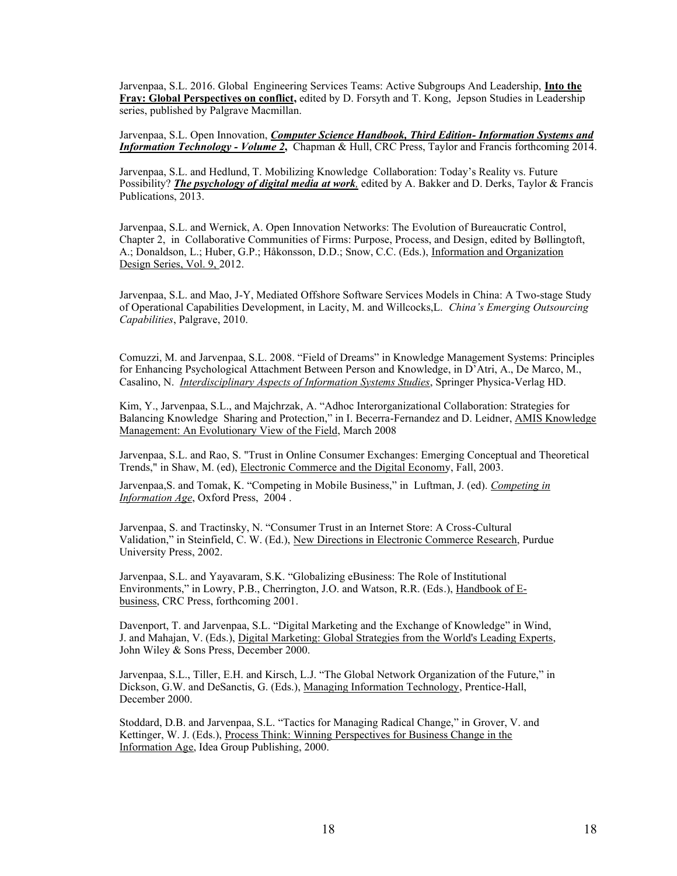Jarvenpaa, S.L. 2016. Global Engineering Services Teams: Active Subgroups And Leadership, **Into the Fray: Global Perspectives on conflict,** edited by D. Forsyth and T. Kong, Jepson Studies in Leadership series, published by Palgrave Macmillan.

Jarvenpaa, S.L. Open Innovation, *Computer Science Handbook, Third Edition- Information Systems and Information Technology - Volume 2***,** Chapman & Hull, CRC Press, Taylor and Francis forthcoming 2014.

Jarvenpaa, S.L. and Hedlund, T. Mobilizing Knowledge Collaboration: Today's Reality vs. Future Possibility? *The psychology of digital media at work,* edited by A. Bakker and D. Derks, Taylor & Francis Publications, 2013.

Jarvenpaa, S.L. and Wernick, A. Open Innovation Networks: The Evolution of Bureaucratic Control, Chapter 2, in Collaborative Communities of Firms: Purpose, Process, and Design, edited by Bøllingtoft, A.; Donaldson, L.; Huber, G.P.; Håkonsson, D.D.; Snow, C.C. (Eds.), [Information and Organization](http://www.springer.com/series/6126)  [Design Series,](http://www.springer.com/series/6126) Vol. 9, 2012.

Jarvenpaa, S.L. and Mao, J-Y, Mediated Offshore Software Services Models in China: A Two-stage Study of Operational Capabilities Development, in Lacity, M. and Willcocks, L. *China's Emerging Outsourcing Capabilities*, Palgrave, 2010.

Comuzzi, M. and Jarvenpaa, S.L. 2008. "Field of Dreams" in Knowledge Management Systems: Principles for Enhancing Psychological Attachment Between Person and Knowledge, in D'Atri, A., De Marco, M., Casalino, N. *Interdisciplinary Aspects of Information Systems Studies*, Springer Physica-Verlag HD.

Kim, Y., Jarvenpaa, S.L., and Majchrzak, A. "Adhoc Interorganizational Collaboration: Strategies for Balancing Knowledge Sharing and Protection," in I. Becerra-Fernandez and D. Leidner, AMIS Knowledge Management: An Evolutionary View of the Field, March 2008

Jarvenpaa, S.L. and Rao, S. "Trust in Online Consumer Exchanges: Emerging Conceptual and Theoretical Trends," in Shaw, M. (ed), Electronic Commerce and the Digital Economy, Fall, 2003.

Jarvenpaa, S. and Tomak, K. "Competing in Mobile Business," in Luftman, J. (ed). Competing in *Information Age*, Oxford Press, 2004 .

Jarvenpaa, S. and Tractinsky, N. "Consumer Trust in an Internet Store: A Cross-Cultural Validation," in Steinfield, C. W. (Ed.), New Directions in Electronic Commerce Research, Purdue University Press, 2002.

Jarvenpaa, S.L. and Yayavaram, S.K. "Globalizing eBusiness: The Role of Institutional Environments," in Lowry, P.B., Cherrington, J.O. and Watson, R.R. (Eds.), Handbook of Ebusiness, CRC Press, forthcoming 2001.

Davenport, T. and Jarvenpaa, S.L. "Digital Marketing and the Exchange of Knowledge" in Wind, J. and Mahajan, V. (Eds.), Digital Marketing: Global Strategies from the World's Leading Experts, John Wiley & Sons Press, December 2000.

Jarvenpaa, S.L., Tiller, E.H. and Kirsch, L.J. "The Global Network Organization of the Future," in Dickson, G.W. and DeSanctis, G. (Eds.), Managing Information Technology, Prentice-Hall, December 2000.

Stoddard, D.B. and Jarvenpaa, S.L. "Tactics for Managing Radical Change," in Grover, V. and Kettinger, W. J. (Eds.), Process Think: Winning Perspectives for Business Change in the Information Age, Idea Group Publishing, 2000.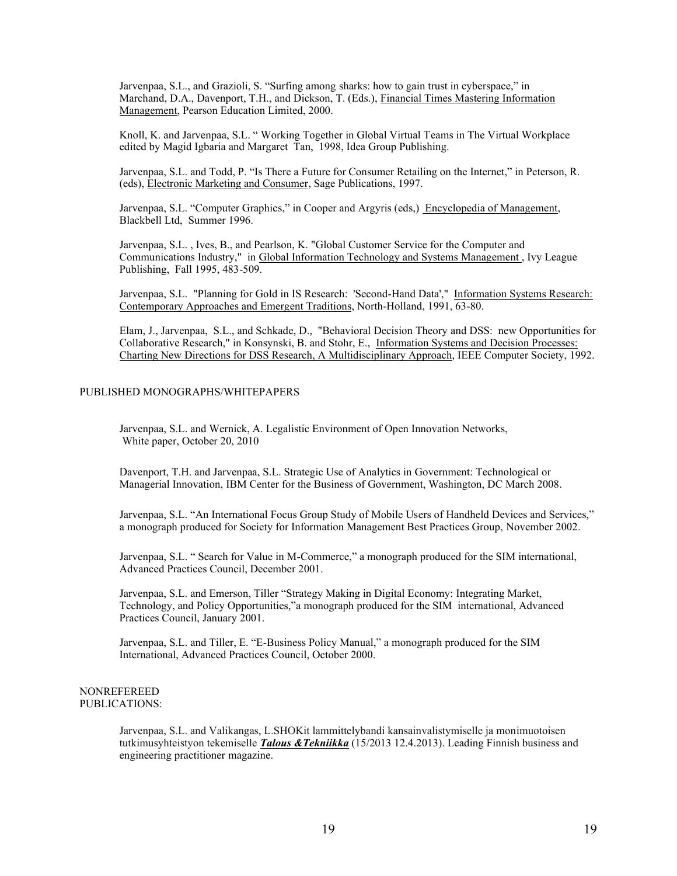Jarvenpaa, S.L., and Grazioli, S. "Surfing among sharks: how to gain trust in cyberspace," in Marchand, D.A., Davenport, T.H., and Dickson, T. (Eds.), Financial Times Mastering Information Management, Pearson Education Limited, 2000.

Knoll, K. and Jarvenpaa, S.L. "Working Together in Global Virtual Teams in The Virtual Workplace edited by Magid Igbaria and Margaret Tan, 1998, Idea Group Publishing.

Jarvenpaa, S.L. and Todd, P. "Is There a Future for Consumer Retailing on the Internet," in Peterson, R. (eds), Electronic Marketing and Consumer, Sage Publications, 1997.

Jarvenpaa, S.L. "Computer Graphics," in Cooper and Argyris (eds.) Encyclopedia of Management, Blackbell Ltd, Summer 1996.

Jarvenpaa, S.L. , Ives, B., and Pearlson, K. "Global Customer Service for the Computer and Communications Industry," in Global Information Technology and Systems Management , Ivy League Publishing, Fall 1995, 483-509.

Jarvenpaa, S.L. "Planning for Gold in IS Research: 'Second-Hand Data'," Information Systems Research: Contemporary Approaches and Emergent Traditions, North-Holland, 1991, 63-80.

Elam, J., Jarvenpaa, S.L., and Schkade, D., "Behavioral Decision Theory and DSS: new Opportunities for Collaborative Research," in Konsynski, B. and Stohr, E., Information Systems and Decision Processes: Charting New Directions for DSS Research, A Multidisciplinary Approach, IEEE Computer Society, 1992.

# PUBLISHED MONOGRAPHS/WHITEPAPERS

Jarvenpaa, S.L. and Wernick, A. Legalistic Environment of Open Innovation Networks, White paper, October 20, 2010

Davenport, T.H. and Jarvenpaa, S.L. Strategic Use of Analytics in Government: Technological or Managerial Innovation, IBM Center for the Business of Government, Washington, DC March 2008.

Jarvenpaa, S.L. "An International Focus Group Study of Mobile Users of Handheld Devices and Services," a monograph produced for Society for Information Management Best Practices Group, November 2002.

Jarvenpaa, S.L. "Search for Value in M-Commerce," a monograph produced for the SIM international, Advanced Practices Council, December 2001.

Jarvenpaa, S.L. and Emerson, Tiller "Strategy Making in Digital Economy: Integrating Market, Technology, and Policy Opportunities,"a monograph produced for the SIM international, Advanced Practices Council, January 2001.

Jarvenpaa, S.L. and Tiller, E. "E-Business Policy Manual," a monograph produced for the SIM International, Advanced Practices Council, October 2000.

#### NONREFEREED PUBLICATIONS:

Jarvenpaa, S.L. and Valikangas, L.SHOKit lammittelybandi kansainvalistymiselle ja monimuotoisen tutkimusyhteistyon tekemiselle *Talous &Tekniikka* (15/2013 12.4.2013). Leading Finnish business and engineering practitioner magazine.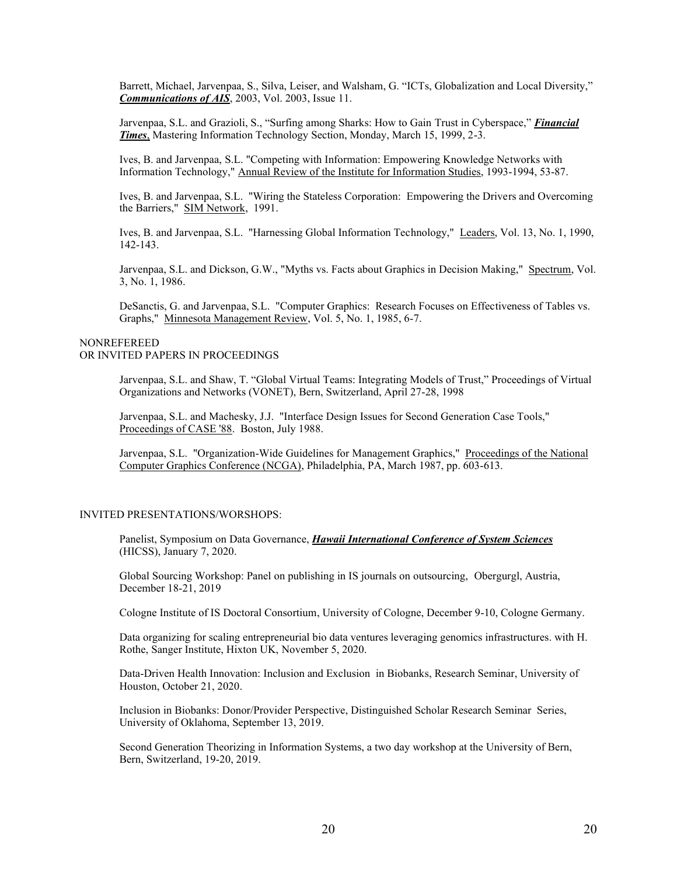Barrett, Michael, Jarvenpaa, S., Silva, Leiser, and Walsham, G. "ICTs, Globalization and Local Diversity," *Communications of AIS*, 2003, Vol. 2003, Issue 11.

Jarvenpaa, S.L. and Grazioli, S., "Surfing among Sharks: How to Gain Trust in Cyberspace," *Financial Times*, Mastering Information Technology Section, Monday, March 15, 1999, 2-3.

Ives, B. and Jarvenpaa, S.L. "Competing with Information: Empowering Knowledge Networks with Information Technology," Annual Review of the Institute for Information Studies, 1993-1994, 53-87.

Ives, B. and Jarvenpaa, S.L. "Wiring the Stateless Corporation: Empowering the Drivers and Overcoming the Barriers," SIM Network, 1991.

Ives, B. and Jarvenpaa, S.L. "Harnessing Global Information Technology," Leaders, Vol. 13, No. 1, 1990, 142-143.

Jarvenpaa, S.L. and Dickson, G.W., "Myths vs. Facts about Graphics in Decision Making," Spectrum, Vol. 3, No. 1, 1986.

DeSanctis, G. and Jarvenpaa, S.L. "Computer Graphics: Research Focuses on Effectiveness of Tables vs. Graphs," Minnesota Management Review, Vol. 5, No. 1, 1985, 6-7.

# NONREFEREED OR INVITED PAPERS IN PROCEEDINGS

Jarvenpaa, S.L. and Shaw, T. "Global Virtual Teams: Integrating Models of Trust," Proceedings of Virtual Organizations and Networks (VONET), Bern, Switzerland, April 27-28, 1998

Jarvenpaa, S.L. and Machesky, J.J. "Interface Design Issues for Second Generation Case Tools," Proceedings of CASE '88. Boston, July 1988.

Jarvenpaa, S.L. "Organization-Wide Guidelines for Management Graphics," Proceedings of the National Computer Graphics Conference (NCGA), Philadelphia, PA, March 1987, pp. 603-613.

### INVITED PRESENTATIONS/WORSHOPS:

Panelist, Symposium on Data Governance, *Hawaii International Conference of System Sciences* (HICSS), January 7, 2020.

Global Sourcing Workshop: Panel on publishing in IS journals on outsourcing, Obergurgl, Austria, December 18-21, 2019

Cologne Institute of IS Doctoral Consortium, University of Cologne, December 9-10, Cologne Germany.

Data organizing for scaling entrepreneurial bio data ventures leveraging genomics infrastructures. with H. Rothe, Sanger Institute, Hixton UK, November 5, 2020.

Data-Driven Health Innovation: Inclusion and Exclusion in Biobanks, Research Seminar, University of Houston, October 21, 2020.

Inclusion in Biobanks: Donor/Provider Perspective, Distinguished Scholar Research Seminar Series, University of Oklahoma, September 13, 2019.

Second Generation Theorizing in Information Systems, a two day workshop at the University of Bern, Bern, Switzerland, 19-20, 2019.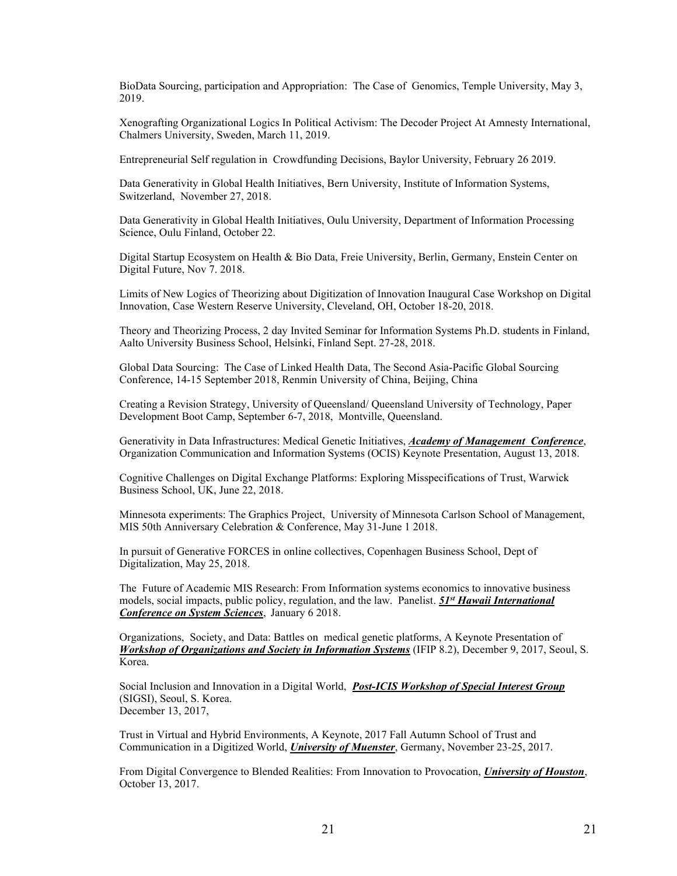BioData Sourcing, participation and Appropriation: The Case of Genomics, Temple University, May 3, 2019.

Xenografting Organizational Logics In Political Activism: The Decoder Project At Amnesty International, Chalmers University, Sweden, March 11, 2019.

Entrepreneurial Self regulation in Crowdfunding Decisions, Baylor University, February 26 2019.

Data Generativity in Global Health Initiatives, Bern University, Institute of Information Systems, Switzerland, November 27, 2018.

Data Generativity in Global Health Initiatives, Oulu University, Department of Information Processing Science, Oulu Finland, October 22.

Digital Startup Ecosystem on Health & Bio Data, Freie University, Berlin, Germany, Enstein Center on Digital Future, Nov 7. 2018.

Limits of New Logics of Theorizing about Digitization of Innovation Inaugural Case Workshop on Digital Innovation, Case Western Reserve University, Cleveland, OH, October 18-20, 2018.

Theory and Theorizing Process, 2 day Invited Seminar for Information Systems Ph.D. students in Finland, Aalto University Business School, Helsinki, Finland Sept. 27-28, 2018.

Global Data Sourcing: The Case of Linked Health Data, The Second Asia-Pacific Global Sourcing Conference, 14-15 September 2018, Renmin University of China, Beijing, China

Creating a Revision Strategy, University of Queensland/ Queensland University of Technology, Paper Development Boot Camp, September 6-7, 2018, Montville, Queensland.

Generativity in Data Infrastructures: Medical Genetic Initiatives, *Academy of Management Conference*, Organization Communication and Information Systems (OCIS) Keynote Presentation, August 13, 2018.

Cognitive Challenges on Digital Exchange Platforms: Exploring Misspecifications of Trust, Warwick Business School, UK, June 22, 2018.

Minnesota experiments: The Graphics Project, University of Minnesota Carlson School of Management, MIS 50th Anniversary Celebration & Conference, May 31-June 1 2018.

In pursuit of Generative FORCES in online collectives, Copenhagen Business School, Dept of Digitalization, May 25, 2018.

The Future of Academic MIS Research: From Information systems economics to innovative business models, social impacts, public policy, regulation, and the law. Panelist. *51st Hawaii International Conference on System Sciences*, January 6 2018.

Organizations, Society, and Data: Battles on medical genetic platforms, A Keynote Presentation of *Workshop of Organizations and Society in Information Systems* (IFIP 8.2), December 9, 2017, Seoul, S. Korea.

Social Inclusion and Innovation in a Digital World, *Post-ICIS Workshop of Special Interest Group* (SIGSI), Seoul, S. Korea. December 13, 2017,

Trust in Virtual and Hybrid Environments, A Keynote, 2017 Fall Autumn School of Trust and Communication in a Digitized World, *University of Muenster*, Germany, November 23-25, 2017.

From Digital Convergence to Blended Realities: From Innovation to Provocation, *University of Houston*, October 13, 2017.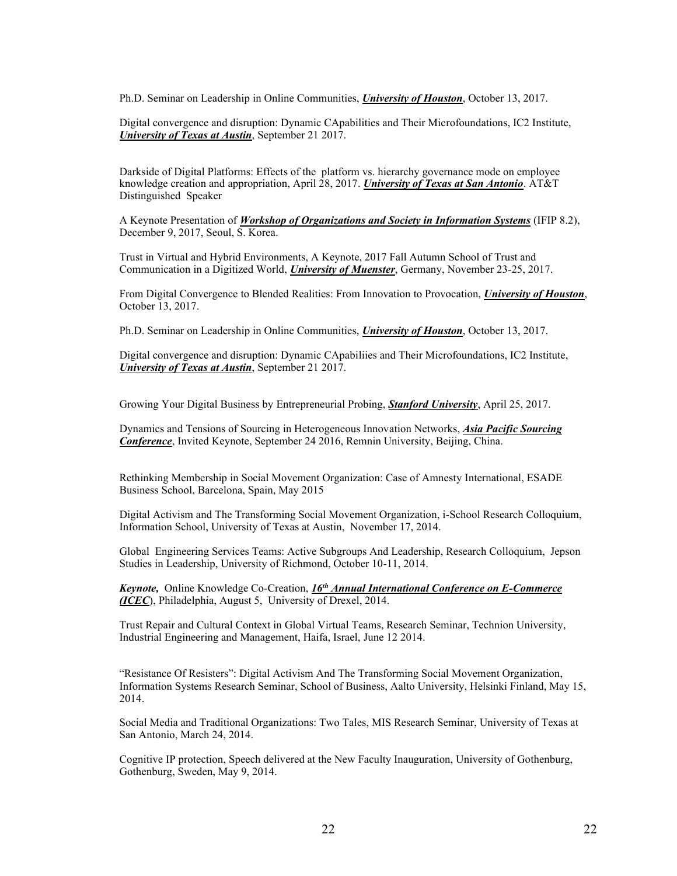Ph.D. Seminar on Leadership in Online Communities, *University of Houston*, October 13, 2017.

Digital convergence and disruption: Dynamic CApabilities and Their Microfoundations, IC2 Institute, *University of Texas at Austin*, September 21 2017.

Darkside of Digital Platforms: Effects of the platform vs. hierarchy governance mode on employee knowledge creation and appropriation, April 28, 2017. *University of Texas at San Antonio*. AT&T Distinguished Speaker

A Keynote Presentation of *Workshop of Organizations and Society in Information Systems* (IFIP 8.2), December 9, 2017, Seoul, S. Korea.

Trust in Virtual and Hybrid Environments, A Keynote, 2017 Fall Autumn School of Trust and Communication in a Digitized World, *University of Muenster*, Germany, November 23-25, 2017.

From Digital Convergence to Blended Realities: From Innovation to Provocation, *University of Houston*, October 13, 2017.

Ph.D. Seminar on Leadership in Online Communities, *University of Houston*, October 13, 2017.

Digital convergence and disruption: Dynamic CApabiliies and Their Microfoundations, IC2 Institute, *University of Texas at Austin*, September 21 2017.

Growing Your Digital Business by Entrepreneurial Probing, *Stanford University*, April 25, 2017.

Dynamics and Tensions of Sourcing in Heterogeneous Innovation Networks, *Asia Pacific Sourcing Conference*, Invited Keynote, September 24 2016, Remnin University, Beijing, China.

Rethinking Membership in Social Movement Organization: Case of Amnesty International, ESADE Business School, Barcelona, Spain, May 2015

Digital Activism and The Transforming Social Movement Organization, i-School Research Colloquium, Information School, University of Texas at Austin, November 17, 2014.

Global Engineering Services Teams: Active Subgroups And Leadership, Research Colloquium, Jepson Studies in Leadership, University of Richmond, October 10-11, 2014.

*Keynote,* Online Knowledge Co-Creation, *16th Annual International Conference on E-Commerce (ICEC*), Philadelphia, August 5, University of Drexel, 2014.

Trust Repair and Cultural Context in Global Virtual Teams, Research Seminar, Technion University, Industrial Engineering and Management, Haifa, Israel, June 12 2014.

"Resistance Of Resisters": Digital Activism And The Transforming Social Movement Organization, Information Systems Research Seminar, School of Business, Aalto University, Helsinki Finland, May 15, 2014.

Social Media and Traditional Organizations: Two Tales, MIS Research Seminar, University of Texas at San Antonio, March 24, 2014.

Cognitive IP protection, Speech delivered at the New Faculty Inauguration, University of Gothenburg, Gothenburg, Sweden, May 9, 2014.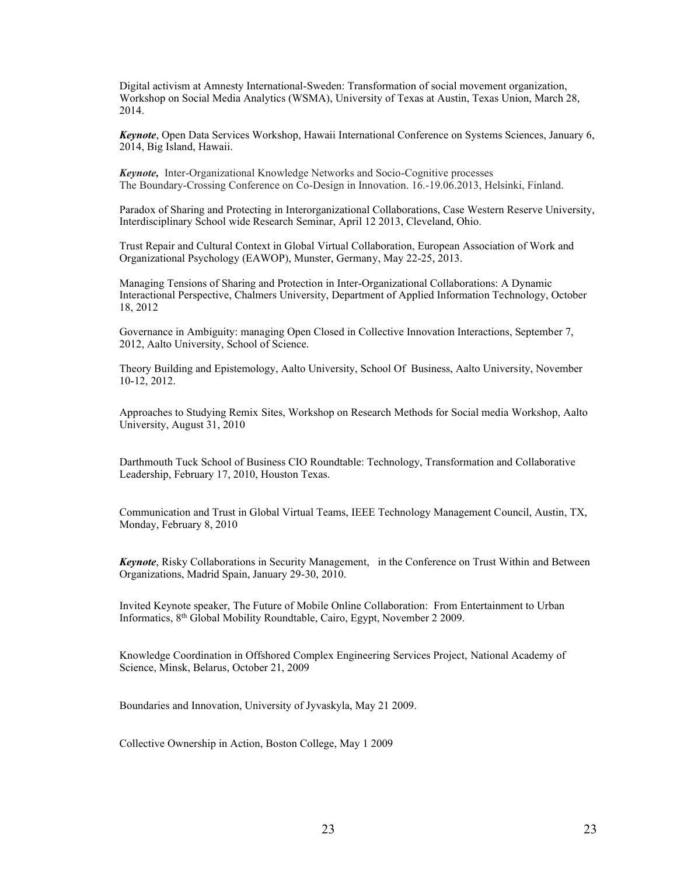Digital activism at Amnesty International-Sweden: Transformation of social movement organization, Workshop on Social Media Analytics (WSMA), University of Texas at Austin, Texas Union, March 28, 2014.

*Keynote*, Open Data Services Workshop, Hawaii International Conference on Systems Sciences, January 6, 2014, Big Island, Hawaii.

*Keynote,* Inter-Organizational Knowledge Networks and Socio-Cognitive processes The Boundary-Crossing Conference on Co-Design in Innovation. 16.-19.06.2013, Helsinki, Finland.

Paradox of Sharing and Protecting in Interorganizational Collaborations, Case Western Reserve University, Interdisciplinary School wide Research Seminar, April 12 2013, Cleveland, Ohio.

Trust Repair and Cultural Context in Global Virtual Collaboration, European Association of Work and Organizational Psychology (EAWOP), Munster, Germany, May 22-25, 2013.

Managing Tensions of Sharing and Protection in Inter-Organizational Collaborations: A Dynamic Interactional Perspective, Chalmers University, Department of Applied Information Technology, October 18, 2012

Governance in Ambiguity: managing Open Closed in Collective Innovation Interactions, September 7, 2012, Aalto University, School of Science.

Theory Building and Epistemology, Aalto University, School Of Business, Aalto University, November 10-12, 2012.

Approaches to Studying Remix Sites, Workshop on Research Methods for Social media Workshop, Aalto University, August 31, 2010

Darthmouth Tuck School of Business CIO Roundtable: Technology, Transformation and Collaborative Leadership, February 17, 2010, Houston Texas.

Communication and Trust in Global Virtual Teams, IEEE Technology Management Council, Austin, TX, Monday, February 8, 2010

*Keynote*, Risky Collaborations in Security Management, in the Conference on Trust Within and Between Organizations, Madrid Spain, January 29-30, 2010.

Invited Keynote speaker, The Future of Mobile Online Collaboration: From Entertainment to Urban Informatics, 8th Global Mobility Roundtable, Cairo, Egypt, November 2 2009.

Knowledge Coordination in Offshored Complex Engineering Services Project, National Academy of Science, Minsk, Belarus, October 21, 2009

Boundaries and Innovation, University of Jyvaskyla, May 21 2009.

Collective Ownership in Action, Boston College, May 1 2009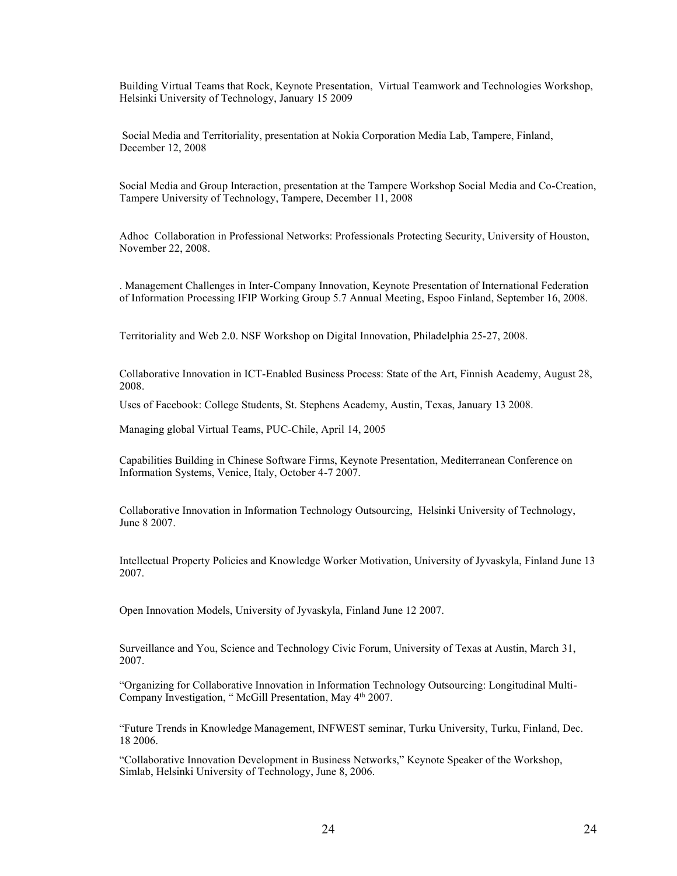Building Virtual Teams that Rock, Keynote Presentation, Virtual Teamwork and Technologies Workshop, Helsinki University of Technology, January 15 2009

Social Media and Territoriality, presentation at Nokia Corporation Media Lab, Tampere, Finland, December 12, 2008

Social Media and Group Interaction, presentation at the Tampere Workshop Social Media and Co-Creation, Tampere University of Technology, Tampere, December 11, 2008

Adhoc Collaboration in Professional Networks: Professionals Protecting Security, University of Houston, November 22, 2008.

. Management Challenges in Inter-Company Innovation, Keynote Presentation of International Federation of Information Processing IFIP Working Group 5.7 Annual Meeting, Espoo Finland, September 16, 2008.

Territoriality and Web 2.0. NSF Workshop on Digital Innovation, Philadelphia 25-27, 2008.

Collaborative Innovation in ICT-Enabled Business Process: State of the Art, Finnish Academy, August 28, 2008.

Uses of Facebook: College Students, St. Stephens Academy, Austin, Texas, January 13 2008.

Managing global Virtual Teams, PUC-Chile, April 14, 2005

Capabilities Building in Chinese Software Firms, Keynote Presentation, Mediterranean Conference on Information Systems, Venice, Italy, October 4-7 2007.

Collaborative Innovation in Information Technology Outsourcing, Helsinki University of Technology, June 8 2007.

Intellectual Property Policies and Knowledge Worker Motivation, University of Jyvaskyla, Finland June 13 2007.

Open Innovation Models, University of Jyvaskyla, Finland June 12 2007.

Surveillance and You, Science and Technology Civic Forum, University of Texas at Austin, March 31, 2007.

³2rganizing for Collaborative Innovation in Information Technology Outsourcing: Longitudinal Multi-Company Investigation, "McGill Presentation, May 4<sup>th</sup> 2007.

"Future Trends in Knowledge Management, INFWEST seminar, Turku University, Turku, Finland, Dec. 18 2006.

"Collaborative Innovation Development in Business Networks," Keynote Speaker of the Workshop, Simlab, Helsinki University of Technology, June 8, 2006.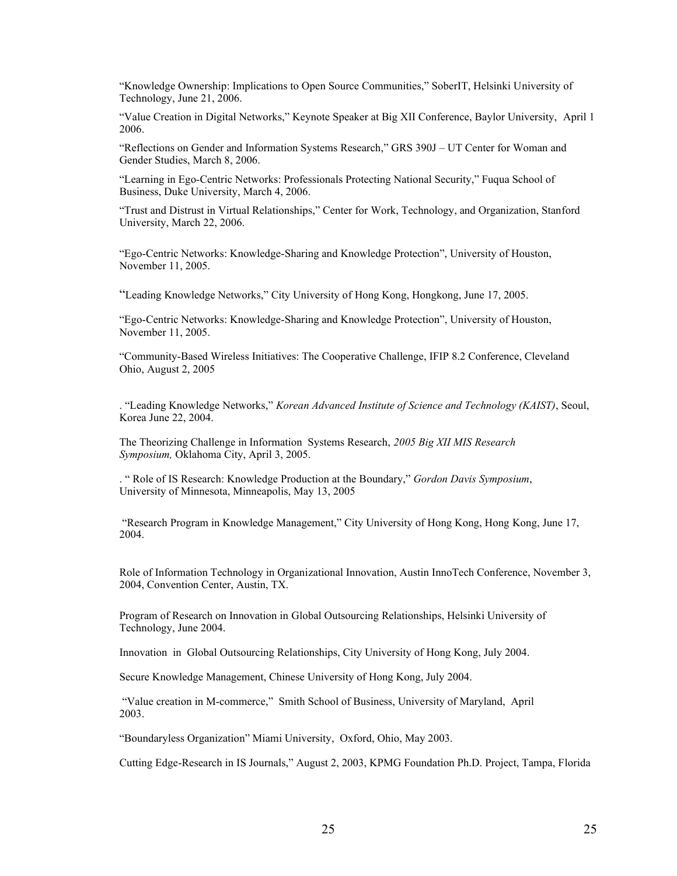"Knowledge Ownership: Implications to Open Source Communities," SoberIT, Helsinki University of Technology, June 21, 2006.

"Value Creation in Digital Networks," Keynote Speaker at Big XII Conference, Baylor University, April 1 2006.

"Reflections on Gender and Information Systems Research," GRS  $390J - UT$  Center for Woman and Gender Studies, March 8, 2006.

"Learning in Ego-Centric Networks: Professionals Protecting National Security," Fuqua School of Business, Duke University, March 4, 2006.

"Trust and Distrust in Virtual Relationships," Center for Work, Technology, and Organization, Stanford University, March 22, 2006.

"Ego-Centric Networks: Knowledge-Sharing and Knowledge Protection", University of Houston, November 11, 2005.

"Leading Knowledge Networks," City University of Hong Kong, Hongkong, June 17, 2005.

"Ego-Centric Networks: Knowledge-Sharing and Knowledge Protection", University of Houston, November 11, 2005.

"Community-Based Wireless Initiatives: The Cooperative Challenge, IFIP 8.2 Conference, Cleveland Ohio, August 2, 2005

<sup>2</sup> "Leading Knowledge Networks," *Korean Advanced Institute of Science and Technology (KAIST)*, Seoul, Korea June 22, 2004.

The Theorizing Challenge in Information Systems Research, *2005 Big XII MIS Research Symposium,* Oklahoma City, April 3, 2005.

. "Role of IS Research: Knowledge Production at the Boundary," Gordon Davis Symposium, University of Minnesota, Minneapolis, May 13, 2005

"Research Program in Knowledge Management," City University of Hong Kong, Hong Kong, June 17, 2004.

Role of Information Technology in Organizational Innovation, Austin InnoTech Conference, November 3, 2004, Convention Center, Austin, TX.

Program of Research on Innovation in Global Outsourcing Relationships, Helsinki University of Technology, June 2004.

Innovation in Global Outsourcing Relationships, City University of Hong Kong, July 2004.

Secure Knowledge Management, Chinese University of Hong Kong, July 2004.

"Value creation in M-commerce," Smith School of Business, University of Maryland, April 2003.

"Boundaryless Organization" Miami University, Oxford, Ohio, May 2003.

Cutting Edge-Research in IS Journals," August 2, 2003, KPMG Foundation Ph.D. Project, Tampa, Florida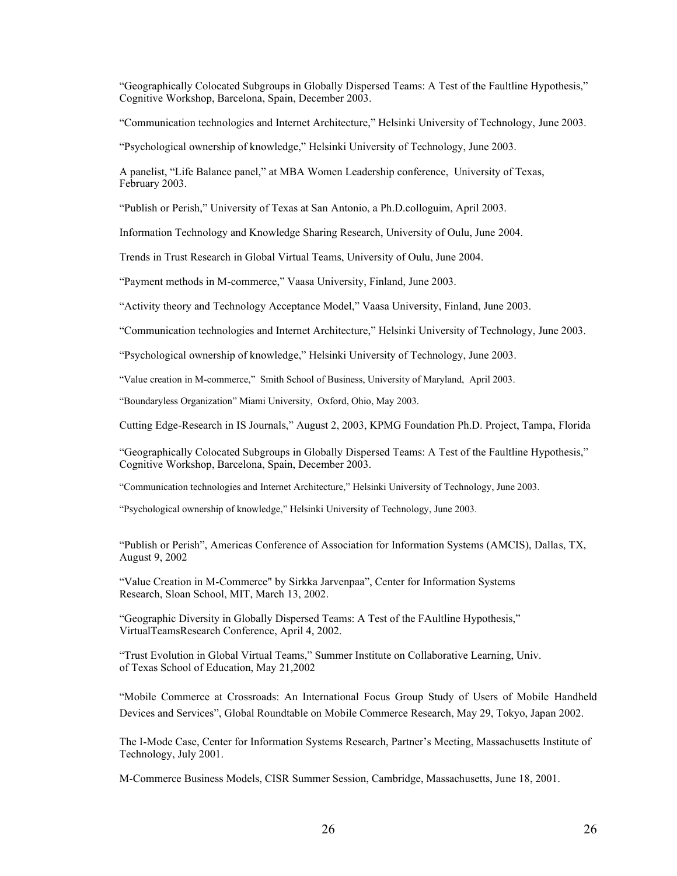"Geographically Colocated Subgroups in Globally Dispersed Teams: A Test of the Faultline Hypothesis," Cognitive Workshop, Barcelona, Spain, December 2003.

"Communication technologies and Internet Architecture," Helsinki University of Technology, June 2003.

"Psychological ownership of knowledge," Helsinki University of Technology, June 2003.

A panelist, "Life Balance panel," at MBA Women Leadership conference, University of Texas, February 2003.

"Publish or Perish," University of Texas at San Antonio, a Ph.D.colloguim, April 2003.

Information Technology and Knowledge Sharing Research, University of Oulu, June 2004.

Trends in Trust Research in Global Virtual Teams, University of Oulu, June 2004.

"Payment methods in M-commerce," Vaasa University, Finland, June 2003.

"Activity theory and Technology Acceptance Model," Vaasa University, Finland, June 2003.

"Communication technologies and Internet Architecture," Helsinki University of Technology, June 2003.

"Psychological ownership of knowledge," Helsinki University of Technology, June 2003.

"Value creation in M-commerce," Smith School of Business, University of Maryland, April 2003.

"Boundaryless Organization" Miami University, Oxford, Ohio, May 2003.

Cutting Edge-Research in IS Journals,´ August 2, 2003, KPMG Foundation Ph.D. Project, Tampa, Florida

"Geographically Colocated Subgroups in Globally Dispersed Teams: A Test of the Faultline Hypothesis," Cognitive Workshop, Barcelona, Spain, December 2003.

"Communication technologies and Internet Architecture," Helsinki University of Technology, June 2003.

"Psychological ownership of knowledge," Helsinki University of Technology, June 2003.

"Publish or Perish", Americas Conference of Association for Information Systems (AMCIS), Dallas, TX, August 9, 2002

"Value Creation in M-Commerce" by Sirkka Jarvenpaa", Center for Information Systems Research, Sloan School, MIT, March 13, 2002.

"Geographic Diversity in Globally Dispersed Teams: A Test of the FAultline Hypothesis," VirtualTeamsResearch Conference, April 4, 2002.

"Trust Evolution in Global Virtual Teams," Summer Institute on Collaborative Learning, Univ. of Texas School of Education, May 21,2002

"Mobile Commerce at Crossroads: An International Focus Group Study of Users of Mobile Handheld Devices and Services", Global Roundtable on Mobile Commerce Research, May 29, Tokyo, Japan 2002.

The I-Mode Case, Center for Information Systems Research, Partner's Meeting, Massachusetts Institute of Technology, July 2001.

M-Commerce Business Models, CISR Summer Session, Cambridge, Massachusetts, June 18, 2001.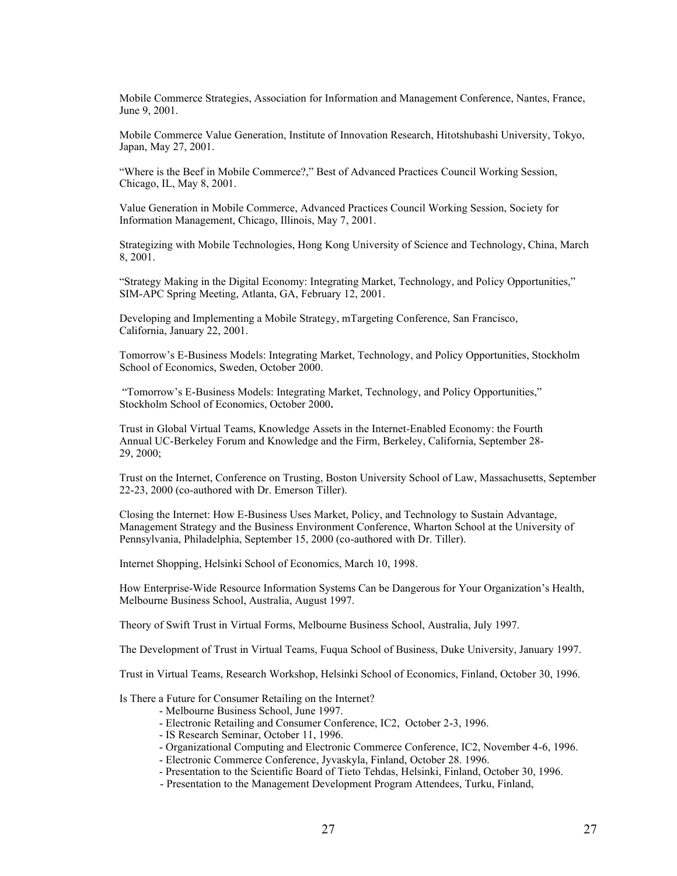Mobile Commerce Strategies, Association for Information and Management Conference, Nantes, France, June 9, 2001.

Mobile Commerce Value Generation, Institute of Innovation Research, Hitotshubashi University, Tokyo, Japan, May 27, 2001.

"Where is the Beef in Mobile Commerce?," Best of Advanced Practices Council Working Session, Chicago, IL, May 8, 2001.

Value Generation in Mobile Commerce, Advanced Practices Council Working Session, Society for Information Management, Chicago, Illinois, May 7, 2001.

Strategizing with Mobile Technologies, Hong Kong University of Science and Technology, China, March 8, 2001.

"Strategy Making in the Digital Economy: Integrating Market, Technology, and Policy Opportunities," SIM-APC Spring Meeting, Atlanta, GA, February 12, 2001.

Developing and Implementing a Mobile Strategy, mTargeting Conference, San Francisco, California, January 22, 2001.

Tomorrow's E-Business Models: Integrating Market, Technology, and Policy Opportunities, Stockholm School of Economics, Sweden, October 2000.

"Tomorrow's E-Business Models: Integrating Market, Technology, and Policy Opportunities," Stockholm School of Economics, October 2000**.**

Trust in Global Virtual Teams, Knowledge Assets in the Internet-Enabled Economy: the Fourth Annual UC-Berkeley Forum and Knowledge and the Firm, Berkeley, California, September 28- 29, 2000;

Trust on the Internet, Conference on Trusting, Boston University School of Law, Massachusetts, September 22-23, 2000 (co-authored with Dr. Emerson Tiller).

Closing the Internet: How E-Business Uses Market, Policy, and Technology to Sustain Advantage, Management Strategy and the Business Environment Conference, Wharton School at the University of Pennsylvania, Philadelphia, September 15, 2000 (co-authored with Dr. Tiller).

Internet Shopping, Helsinki School of Economics, March 10, 1998.

How Enterprise-Wide Resource Information Systems Can be Dangerous for Your Organization's Health, Melbourne Business School, Australia, August 1997.

Theory of Swift Trust in Virtual Forms, Melbourne Business School, Australia, July 1997.

The Development of Trust in Virtual Teams, Fuqua School of Business, Duke University, January 1997.

Trust in Virtual Teams, Research Workshop, Helsinki School of Economics, Finland, October 30, 1996.

Is There a Future for Consumer Retailing on the Internet?

- Melbourne Business School, June 1997.
- Electronic Retailing and Consumer Conference, IC2, October 2-3, 1996.
- IS Research Seminar, October 11, 1996.
- Organizational Computing and Electronic Commerce Conference, IC2, November 4-6, 1996.
- Electronic Commerce Conference, Jyvaskyla, Finland, October 28. 1996.
- Presentation to the Scientific Board of Tieto Tehdas, Helsinki, Finland, October 30, 1996.
- Presentation to the Management Development Program Attendees, Turku, Finland,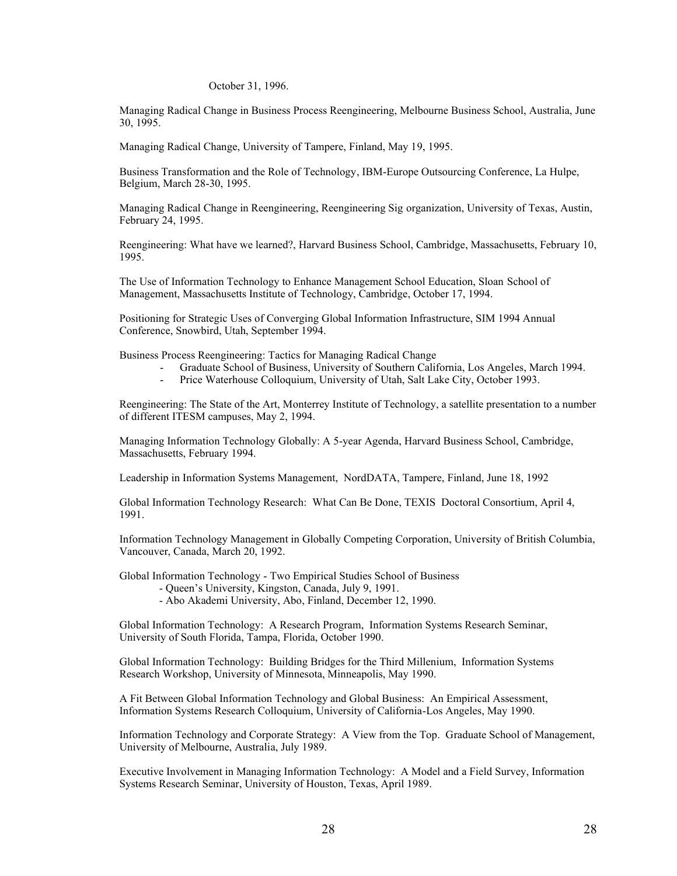# October 31, 1996.

Managing Radical Change in Business Process Reengineering, Melbourne Business School, Australia, June 30, 1995.

Managing Radical Change, University of Tampere, Finland, May 19, 1995.

Business Transformation and the Role of Technology, IBM-Europe Outsourcing Conference, La Hulpe, Belgium, March 28-30, 1995.

Managing Radical Change in Reengineering, Reengineering Sig organization, University of Texas, Austin, February 24, 1995.

Reengineering: What have we learned?, Harvard Business School, Cambridge, Massachusetts, February 10, 1995.

The Use of Information Technology to Enhance Management School Education, Sloan School of Management, Massachusetts Institute of Technology, Cambridge, October 17, 1994.

Positioning for Strategic Uses of Converging Global Information Infrastructure, SIM 1994 Annual Conference, Snowbird, Utah, September 1994.

Business Process Reengineering: Tactics for Managing Radical Change

- Graduate School of Business, University of Southern California, Los Angeles, March 1994.<br>- Price Waterhouse Colloquium. University of Utah. Salt Lake City. October 1993.
- Price Waterhouse Colloquium, University of Utah, Salt Lake City, October 1993.

Reengineering: The State of the Art, Monterrey Institute of Technology, a satellite presentation to a number of different ITESM campuses, May 2, 1994.

Managing Information Technology Globally: A 5-year Agenda, Harvard Business School, Cambridge, Massachusetts, February 1994.

Leadership in Information Systems Management, NordDATA, Tampere, Finland, June 18, 1992

Global Information Technology Research: What Can Be Done, TEXIS Doctoral Consortium, April 4, 1991.

Information Technology Management in Globally Competing Corporation, University of British Columbia, Vancouver, Canada, March 20, 1992.

Global Information Technology - Two Empirical Studies School of Business

- Queen's University, Kingston, Canada, July 9, 1991.
- Abo Akademi University, Abo, Finland, December 12, 1990.

Global Information Technology: A Research Program, Information Systems Research Seminar, University of South Florida, Tampa, Florida, October 1990.

Global Information Technology: Building Bridges for the Third Millenium, Information Systems Research Workshop, University of Minnesota, Minneapolis, May 1990.

A Fit Between Global Information Technology and Global Business: An Empirical Assessment, Information Systems Research Colloquium, University of California-Los Angeles, May 1990.

Information Technology and Corporate Strategy: A View from the Top. Graduate School of Management, University of Melbourne, Australia, July 1989.

Executive Involvement in Managing Information Technology: A Model and a Field Survey, Information Systems Research Seminar, University of Houston, Texas, April 1989.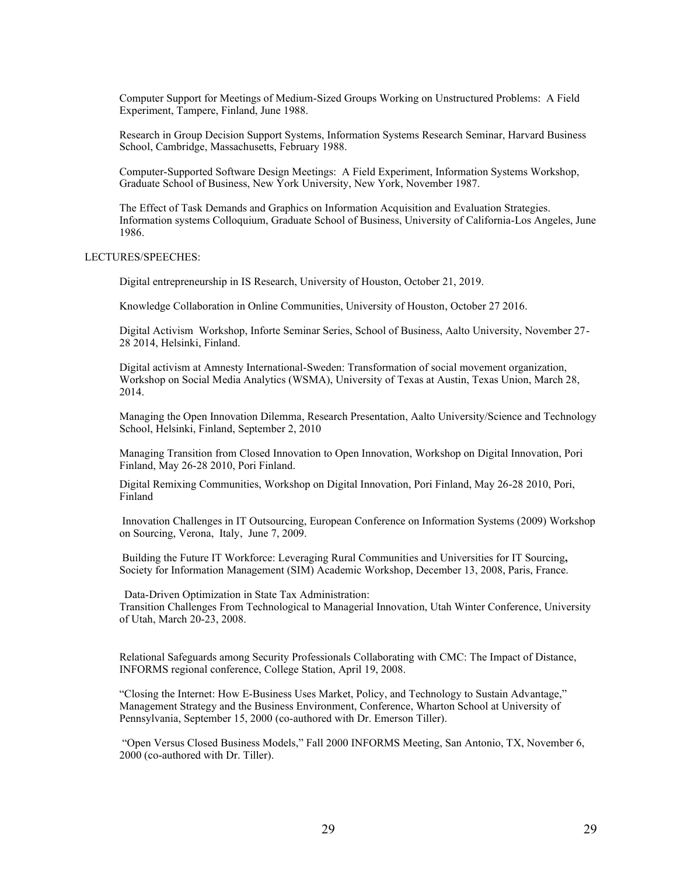Computer Support for Meetings of Medium-Sized Groups Working on Unstructured Problems: A Field Experiment, Tampere, Finland, June 1988.

Research in Group Decision Support Systems, Information Systems Research Seminar, Harvard Business School, Cambridge, Massachusetts, February 1988.

Computer-Supported Software Design Meetings: A Field Experiment, Information Systems Workshop, Graduate School of Business, New York University, New York, November 1987.

The Effect of Task Demands and Graphics on Information Acquisition and Evaluation Strategies. Information systems Colloquium, Graduate School of Business, University of California-Los Angeles, June 1986.

# LECTURES/SPEECHES:

Digital entrepreneurship in IS Research, University of Houston, October 21, 2019.

Knowledge Collaboration in Online Communities, University of Houston, October 27 2016.

Digital Activism Workshop, Inforte Seminar Series, School of Business, Aalto University, November 27- 28 2014, Helsinki, Finland.

Digital activism at Amnesty International-Sweden: Transformation of social movement organization, Workshop on Social Media Analytics (WSMA), University of Texas at Austin, Texas Union, March 28, 2014.

Managing the Open Innovation Dilemma, Research Presentation, Aalto University/Science and Technology School, Helsinki, Finland, September 2, 2010

Managing Transition from Closed Innovation to Open Innovation, Workshop on Digital Innovation, Pori Finland, May 26-28 2010, Pori Finland.

Digital Remixing Communities, Workshop on Digital Innovation, Pori Finland, May 26-28 2010, Pori, Finland

Innovation Challenges in IT Outsourcing, European Conference on Information Systems (2009) Workshop on Sourcing, Verona, Italy, June 7, 2009.

Building the Future IT Workforce: Leveraging Rural Communities and Universities for IT Sourcing**,**  Society for Information Management (SIM) Academic Workshop, December 13, 2008, Paris, France.

Data-Driven Optimization in State Tax Administration: Transition Challenges From Technological to Managerial Innovation, Utah Winter Conference, University of Utah, March 20-23, 2008.

Relational Safeguards among Security Professionals Collaborating with CMC: The Impact of Distance, INFORMS regional conference, College Station, April 19, 2008.

"Closing the Internet: How E-Business Uses Market, Policy, and Technology to Sustain Advantage," Management Strategy and the Business Environment, Conference, Wharton School at University of Pennsylvania, September 15, 2000 (co-authored with Dr. Emerson Tiller).

"Open Versus Closed Business Models," Fall 2000 INFORMS Meeting, San Antonio, TX, November 6, 2000 (co-authored with Dr. Tiller).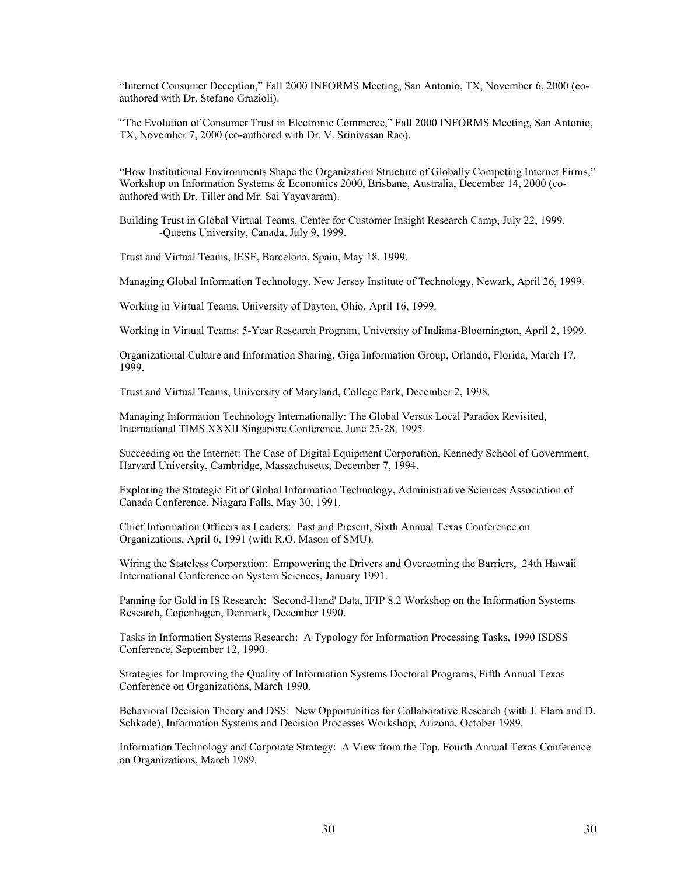"Internet Consumer Deception," Fall 2000 INFORMS Meeting, San Antonio, TX, November 6, 2000 (coauthored with Dr. Stefano Grazioli).

"The Evolution of Consumer Trust in Electronic Commerce," Fall 2000 INFORMS Meeting, San Antonio, TX, November 7, 2000 (co-authored with Dr. V. Srinivasan Rao).

"How Institutional Environments Shape the Organization Structure of Globally Competing Internet Firms," Workshop on Information Systems & Economics 2000, Brisbane, Australia, December 14, 2000 (coauthored with Dr. Tiller and Mr. Sai Yayavaram).

Building Trust in Global Virtual Teams, Center for Customer Insight Research Camp, July 22, 1999. -Queens University, Canada, July 9, 1999.

Trust and Virtual Teams, IESE, Barcelona, Spain, May 18, 1999.

Managing Global Information Technology, New Jersey Institute of Technology, Newark, April 26, 1999.

Working in Virtual Teams, University of Dayton, Ohio, April 16, 1999.

Working in Virtual Teams: 5-Year Research Program, University of Indiana-Bloomington, April 2, 1999.

Organizational Culture and Information Sharing, Giga Information Group, Orlando, Florida, March 17, 1999.

Trust and Virtual Teams, University of Maryland, College Park, December 2, 1998.

Managing Information Technology Internationally: The Global Versus Local Paradox Revisited, International TIMS XXXII Singapore Conference, June 25-28, 1995.

Succeeding on the Internet: The Case of Digital Equipment Corporation, Kennedy School of Government, Harvard University, Cambridge, Massachusetts, December 7, 1994.

Exploring the Strategic Fit of Global Information Technology, Administrative Sciences Association of Canada Conference, Niagara Falls, May 30, 1991.

Chief Information Officers as Leaders: Past and Present, Sixth Annual Texas Conference on Organizations, April 6, 1991 (with R.O. Mason of SMU).

Wiring the Stateless Corporation: Empowering the Drivers and Overcoming the Barriers, 24th Hawaii International Conference on System Sciences, January 1991.

Panning for Gold in IS Research: 'Second-Hand' Data, IFIP 8.2 Workshop on the Information Systems Research, Copenhagen, Denmark, December 1990.

Tasks in Information Systems Research: A Typology for Information Processing Tasks, 1990 ISDSS Conference, September 12, 1990.

Strategies for Improving the Quality of Information Systems Doctoral Programs, Fifth Annual Texas Conference on Organizations, March 1990.

Behavioral Decision Theory and DSS: New Opportunities for Collaborative Research (with J. Elam and D. Schkade), Information Systems and Decision Processes Workshop, Arizona, October 1989.

Information Technology and Corporate Strategy: A View from the Top, Fourth Annual Texas Conference on Organizations, March 1989.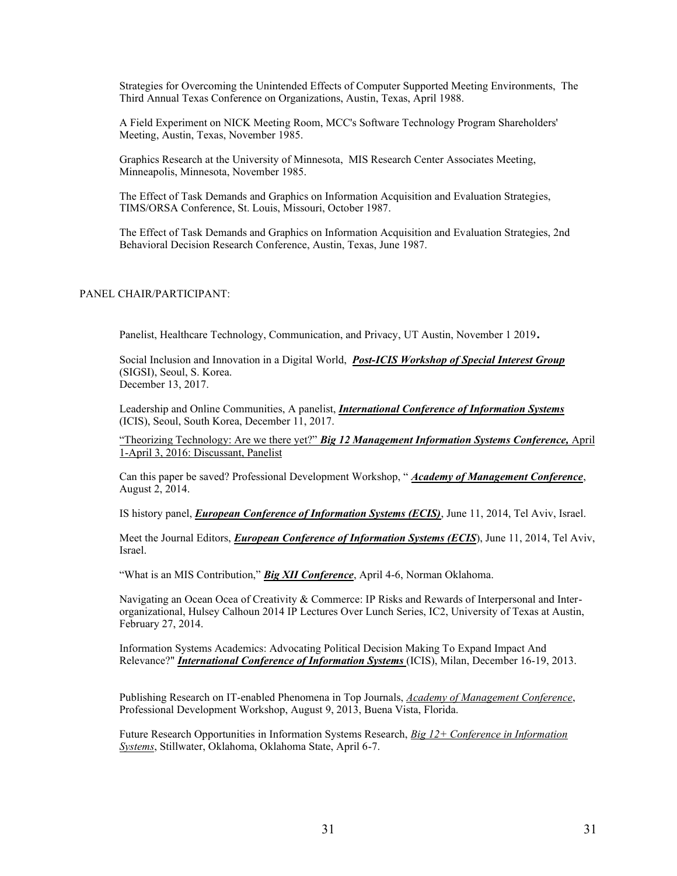Strategies for Overcoming the Unintended Effects of Computer Supported Meeting Environments, The Third Annual Texas Conference on Organizations, Austin, Texas, April 1988.

A Field Experiment on NICK Meeting Room, MCC's Software Technology Program Shareholders' Meeting, Austin, Texas, November 1985.

Graphics Research at the University of Minnesota, MIS Research Center Associates Meeting, Minneapolis, Minnesota, November 1985.

The Effect of Task Demands and Graphics on Information Acquisition and Evaluation Strategies, TIMS/ORSA Conference, St. Louis, Missouri, October 1987.

The Effect of Task Demands and Graphics on Information Acquisition and Evaluation Strategies, 2nd Behavioral Decision Research Conference, Austin, Texas, June 1987.

# PANEL CHAIR/PARTICIPANT:

Panelist, Healthcare Technology, Communication, and Privacy, UT Austin, November 1 2019.

Social Inclusion and Innovation in a Digital World, *Post-ICIS Workshop of Special Interest Group* (SIGSI), Seoul, S. Korea. December 13, 2017.

Leadership and Online Communities, A panelist, *International Conference of Information Systems* (ICIS), Seoul, South Korea, December 11, 2017.

"Theorizing Technology: Are we there yet?" *Big 12 Management Information Systems Conference*, April 1-April 3, 2016: Discussant, Panelist

Can this paper be saved? Professional Development Workshop, "*Academy of Management Conference*, August 2, 2014.

IS history panel, *European Conference of Information Systems (ECIS)*, June 11, 2014, Tel Aviv, Israel.

Meet the Journal Editors, *European Conference of Information Systems (ECIS*), June 11, 2014, Tel Aviv, Israel.

"What is an MIS Contribution," **Big XII Conference**, April 4-6, Norman Oklahoma.

Navigating an Ocean Ocea of Creativity & Commerce: IP Risks and Rewards of Interpersonal and Interorganizational, Hulsey Calhoun 2014 IP Lectures Over Lunch Series, IC2, University of Texas at Austin, February 27, 2014.

Information Systems Academics: Advocating Political Decision Making To Expand Impact And Relevance?" *International Conference of Information Systems* (ICIS), Milan, December 16-19, 2013.

Publishing Research on IT-enabled Phenomena in Top Journals, *Academy of Management Conference*, Professional Development Workshop, August 9, 2013, Buena Vista, Florida.

Future Research Opportunities in Information Systems Research, *Big 12+ Conference in Information Systems*, Stillwater, Oklahoma, Oklahoma State, April 6-7.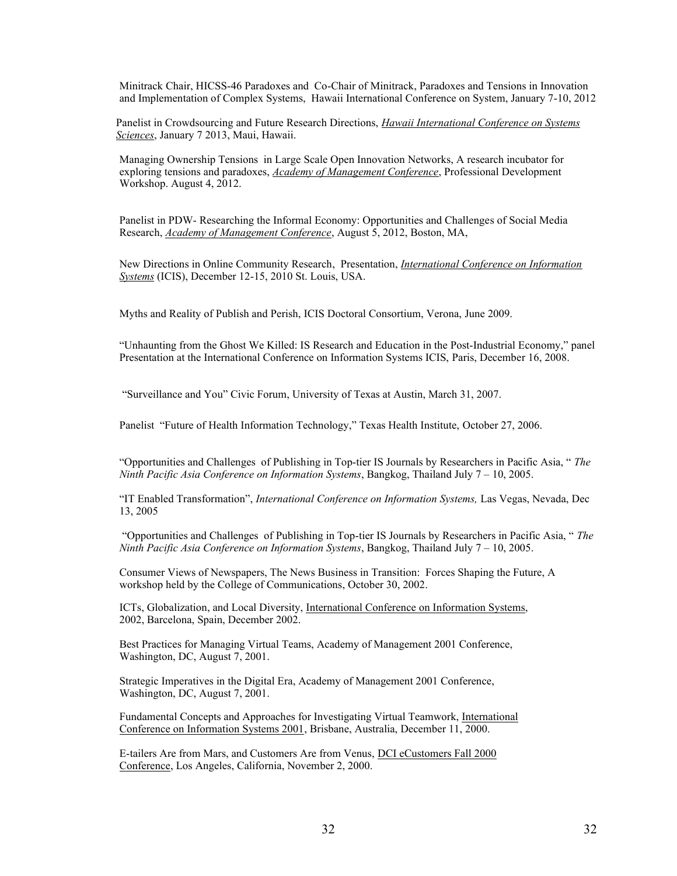Minitrack Chair, HICSS-46 Paradoxes and Co-Chair of Minitrack, Paradoxes and Tensions in Innovation and Implementation of Complex Systems, Hawaii International Conference on System, January 7-10, 2012

Panelist in Crowdsourcing and Future Research Directions, *Hawaii International Conference on Systems Sciences*, January 7 2013, Maui, Hawaii.

Managing Ownership Tensions in Large Scale Open Innovation Networks, A research incubator for exploring tensions and paradoxes, *Academy of Management Conference*, Professional Development Workshop. August 4, 2012.

Panelist in PDW- Researching the Informal Economy: Opportunities and Challenges of Social Media Research, *Academy of Management Conference*, August 5, 2012, Boston, MA,

New Directions in Online Community Research, Presentation, *International Conference on Information Systems* (ICIS), December 12-15, 2010 St. Louis, USA.

Myths and Reality of Publish and Perish, ICIS Doctoral Consortium, Verona, June 2009.

"Unhaunting from the Ghost We Killed: IS Research and Education in the Post-Industrial Economy," panel Presentation at the International Conference on Information Systems ICIS, Paris, December 16, 2008.

"Surveillance and You" Civic Forum, University of Texas at Austin, March 31, 2007.

Panelist "Future of Health Information Technology," Texas Health Institute, October 27, 2006.

"Opportunities and Challenges of Publishing in Top-tier IS Journals by Researchers in Pacific Asia, "The *Ninth Pacific Asia Conference on Information Systems*, Bangkog, Thailand July 7 - 10, 2005.

"IT Enabled Transformation", International Conference on Information Systems, Las Vegas, Nevada, Dec 13, 2005

"Opportunities and Challenges of Publishing in Top-tier IS Journals by Researchers in Pacific Asia, "The *Ninth Pacific Asia Conference on Information Systems*, Bangkog, Thailand July 7 - 10, 2005.

Consumer Views of Newspapers, The News Business in Transition: Forces Shaping the Future, A workshop held by the College of Communications, October 30, 2002.

ICTs, Globalization, and Local Diversity, International Conference on Information Systems, 2002, Barcelona, Spain, December 2002.

Best Practices for Managing Virtual Teams, Academy of Management 2001 Conference, Washington, DC, August 7, 2001.

Strategic Imperatives in the Digital Era, Academy of Management 2001 Conference, Washington, DC, August 7, 2001.

Fundamental Concepts and Approaches for Investigating Virtual Teamwork, International Conference on Information Systems 2001, Brisbane, Australia, December 11, 2000.

E-tailers Are from Mars, and Customers Are from Venus, DCI eCustomers Fall 2000 Conference, Los Angeles, California, November 2, 2000.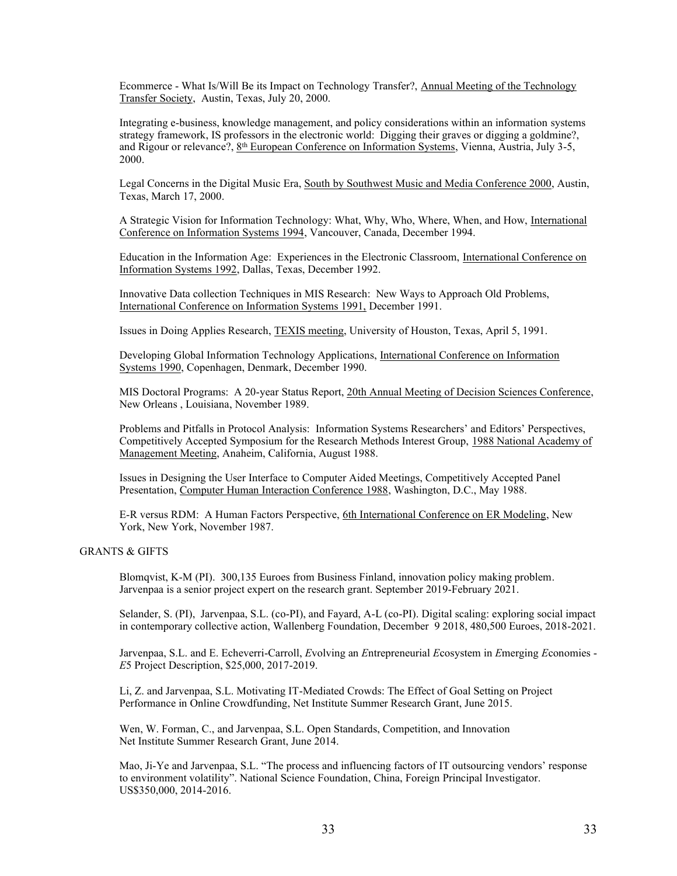Ecommerce - What Is/Will Be its Impact on Technology Transfer?, Annual Meeting of the Technology Transfer Society, Austin, Texas, July 20, 2000.

Integrating e-business, knowledge management, and policy considerations within an information systems strategy framework, IS professors in the electronic world: Digging their graves or digging a goldmine?, and Rigour or relevance?, 8th European Conference on Information Systems, Vienna, Austria, July 3-5, 2000.

Legal Concerns in the Digital Music Era, South by Southwest Music and Media Conference 2000, Austin, Texas, March 17, 2000.

A Strategic Vision for Information Technology: What, Why, Who, Where, When, and How, International Conference on Information Systems 1994, Vancouver, Canada, December 1994.

Education in the Information Age: Experiences in the Electronic Classroom, International Conference on Information Systems 1992, Dallas, Texas, December 1992.

Innovative Data collection Techniques in MIS Research: New Ways to Approach Old Problems, International Conference on Information Systems 1991, December 1991.

Issues in Doing Applies Research, TEXIS meeting, University of Houston, Texas, April 5, 1991.

Developing Global Information Technology Applications, International Conference on Information Systems 1990, Copenhagen, Denmark, December 1990.

MIS Doctoral Programs: A 20-year Status Report, 20th Annual Meeting of Decision Sciences Conference, New Orleans , Louisiana, November 1989.

Problems and Pitfalls in Protocol Analysis: Information Systems Researchers' and Editors' Perspectives, Competitively Accepted Symposium for the Research Methods Interest Group, 1988 National Academy of Management Meeting, Anaheim, California, August 1988.

Issues in Designing the User Interface to Computer Aided Meetings, Competitively Accepted Panel Presentation, Computer Human Interaction Conference 1988, Washington, D.C., May 1988.

E-R versus RDM: A Human Factors Perspective, 6th International Conference on ER Modeling, New York, New York, November 1987.

GRANTS & GIFTS

Blomqvist, K-M (PI). 300,135 Euroes from Business Finland, innovation policy making problem. Jarvenpaa is a senior project expert on the research grant. September 2019-February 2021.

Selander, S. (PI), Jarvenpaa, S.L. (co-PI), and Fayard, A-L (co-PI). Digital scaling: exploring social impact in contemporary collective action, Wallenberg Foundation, December 9 2018, 480,500 Euroes, 2018-2021.

Jarvenpaa, S.L. and E. Echeverri-Carroll, *E*volving an *E*ntrepreneurial *E*cosystem in *E*merging *E*conomies - *E*5 Project Description, \$25,000, 2017-2019.

Li, Z. and Jarvenpaa, S.L. Motivating IT-Mediated Crowds: The Effect of Goal Setting on Project Performance in Online Crowdfunding, Net Institute Summer Research Grant, June 2015.

Wen, W. Forman, C., and Jarvenpaa, S.L. Open Standards, Competition, and Innovation Net Institute Summer Research Grant, June 2014.

Mao, Ji-Ye and Jarvenpaa, S.L. "The process and influencing factors of IT outsourcing vendors' response to environment volatility". National Science Foundation, China, Foreign Principal Investigator. US\$350,000, 2014-2016.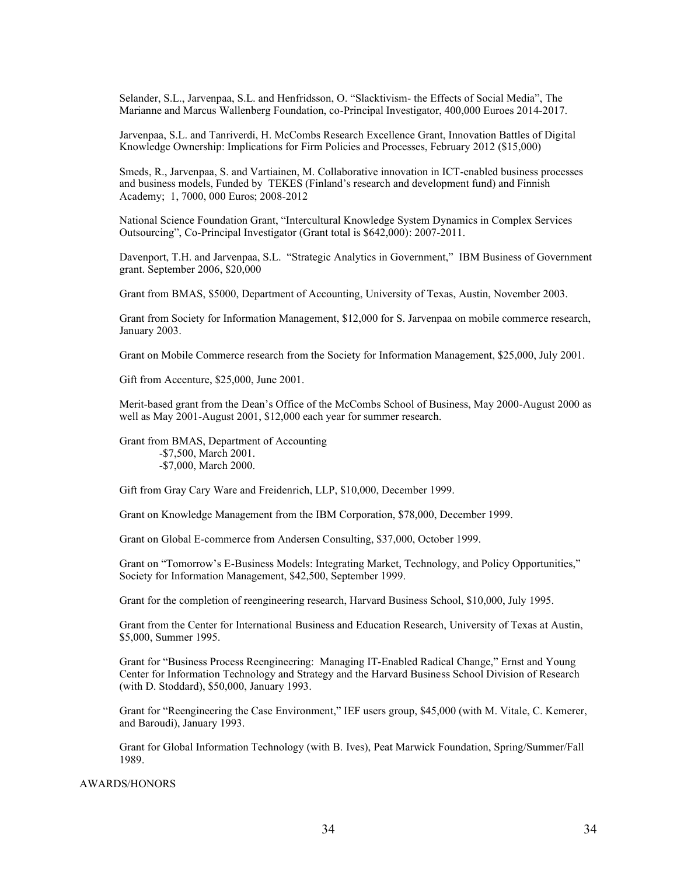Selander, S.L., Jarvenpaa, S.L. and Henfridsson, O. "Slacktivism- the Effects of Social Media", The Marianne and Marcus Wallenberg Foundation, co-Principal Investigator, 400,000 Euroes 2014-2017.

Jarvenpaa, S.L. and Tanriverdi, H. McCombs Research Excellence Grant, Innovation Battles of Digital Knowledge Ownership: Implications for Firm Policies and Processes, February 2012 (\$15,000)

Smeds, R., Jarvenpaa, S. and Vartiainen, M. Collaborative innovation in ICT-enabled business processes and business models, Funded by TEKES (Finland's research and development fund) and Finnish Academy; 1, 7000, 000 Euros; 2008-2012

National Science Foundation Grant, "Intercultural Knowledge System Dynamics in Complex Services Outsourcing", Co-Principal Investigator (Grant total is \$642,000): 2007-2011.

Davenport, T.H. and Jarvenpaa, S.L. "Strategic Analytics in Government," IBM Business of Government grant. September 2006, \$20,000

Grant from BMAS, \$5000, Department of Accounting, University of Texas, Austin, November 2003.

Grant from Society for Information Management, \$12,000 for S. Jarvenpaa on mobile commerce research, January 2003.

Grant on Mobile Commerce research from the Society for Information Management, \$25,000, July 2001.

Gift from Accenture, \$25,000, June 2001.

Merit-based grant from the Dean's Office of the McCombs School of Business, May 2000-August 2000 as well as May 2001-August 2001, \$12,000 each year for summer research.

Grant from BMAS, Department of Accounting -\$7,500, March 2001. -\$7,000, March 2000.

Gift from Gray Cary Ware and Freidenrich, LLP, \$10,000, December 1999.

Grant on Knowledge Management from the IBM Corporation, \$78,000, December 1999.

Grant on Global E-commerce from Andersen Consulting, \$37,000, October 1999.

Grant on "Tomorrow's E-Business Models: Integrating Market, Technology, and Policy Opportunities," Society for Information Management, \$42,500, September 1999.

Grant for the completion of reengineering research, Harvard Business School, \$10,000, July 1995.

Grant from the Center for International Business and Education Research, University of Texas at Austin, \$5,000, Summer 1995.

Grant for "Business Process Reengineering: Managing IT-Enabled Radical Change," Ernst and Young Center for Information Technology and Strategy and the Harvard Business School Division of Research (with D. Stoddard), \$50,000, January 1993.

Grant for "Reengineering the Case Environment," IEF users group, \$45,000 (with M. Vitale, C. Kemerer, and Baroudi), January 1993.

Grant for Global Information Technology (with B. Ives), Peat Marwick Foundation, Spring/Summer/Fall 1989.

# AWARDS/HONORS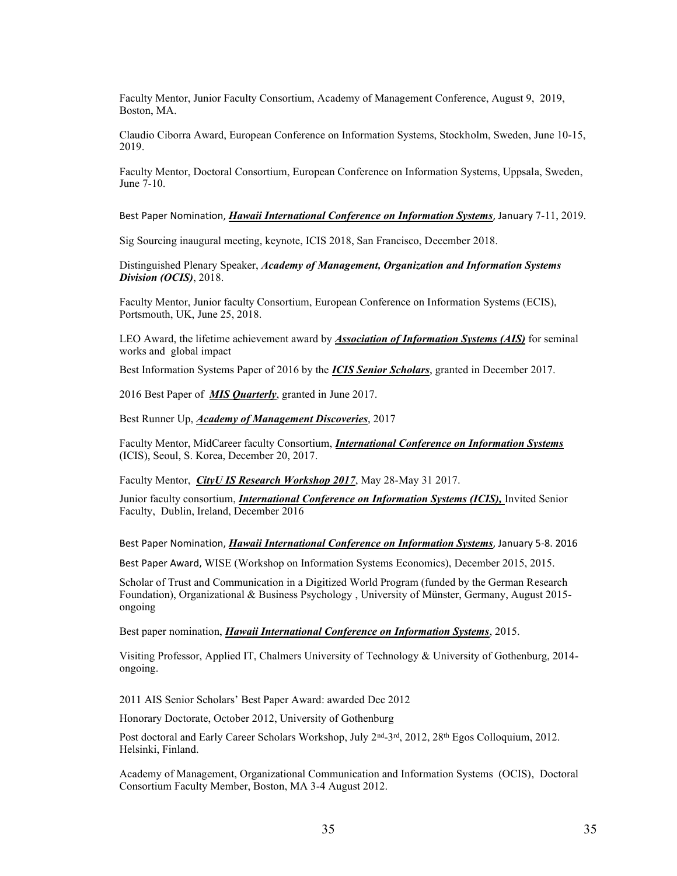Faculty Mentor, Junior Faculty Consortium, Academy of Management Conference, August 9, 2019, Boston, MA.

Claudio Ciborra Award, European Conference on Information Systems, Stockholm, Sweden, June 10-15, 2019.

Faculty Mentor, Doctoral Consortium, European Conference on Information Systems, Uppsala, Sweden, June 7-10.

Best Paper Nomination, *Hawaii International Conference on Information Systems*, January 7-11, 2019.

Sig Sourcing inaugural meeting, keynote, ICIS 2018, San Francisco, December 2018.

Distinguished Plenary Speaker, *Academy of Management, Organization and Information Systems Division (OCIS)*, 2018.

Faculty Mentor, Junior faculty Consortium, European Conference on Information Systems (ECIS), Portsmouth, UK, June 25, 2018.

LEO Award, the lifetime achievement award by *Association of Information Systems (AIS)* for seminal works and global impact

Best Information Systems Paper of 2016 by the *ICIS Senior Scholars*, granted in December 2017.

2016 Best Paper of *MIS Quarterly*, granted in June 2017.

Best Runner Up, *Academy of Management Discoveries*, 2017

Faculty Mentor, MidCareer faculty Consortium, *International Conference on Information Systems*  (ICIS), Seoul, S. Korea, December 20, 2017.

Faculty Mentor, *CityU IS Research Workshop 2017*, May 28-May 31 2017.

Junior faculty consortium, *International Conference on Information Systems (ICIS),* Invited Senior Faculty, Dublin, Ireland, December 2016

Best Paper Nomination, *Hawaii International Conference on Information Systems*, January 5-8. 2016

Best Paper Award, WISE (Workshop on Information Systems Economics), December 2015, 2015.

Scholar of Trust and Communication in a Digitized World Program (funded by the German Research Foundation), Organizational & Business Psychology , University of Münster, Germany, August 2015 ongoing

Best paper nomination, *Hawaii International Conference on Information Systems*, 2015.

Visiting Professor, Applied IT, Chalmers University of Technology & University of Gothenburg, 2014 ongoing.

2011 AIS Senior Scholars' Best Paper Award: awarded Dec 2012

Honorary Doctorate, October 2012, University of Gothenburg

Post doctoral and Early Career Scholars Workshop, July 2<sup>nd</sup>-3<sup>rd</sup>, 2012, 28<sup>th</sup> Egos Colloquium, 2012. Helsinki, Finland.

Academy of Management, Organizational Communication and Information Systems (OCIS), Doctoral Consortium Faculty Member, Boston, MA 3-4 August 2012.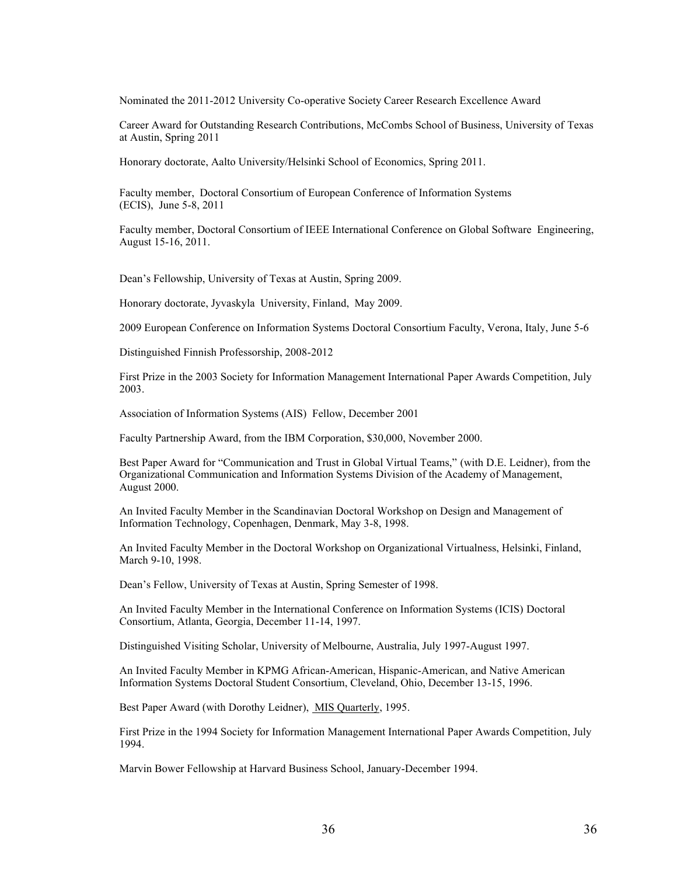Nominated the 2011-2012 University Co-operative Society Career Research Excellence Award

Career Award for Outstanding Research Contributions, McCombs School of Business, University of Texas at Austin, Spring 2011

Honorary doctorate, Aalto University/Helsinki School of Economics, Spring 2011.

Faculty member, Doctoral Consortium of European Conference of Information Systems (ECIS), June 5-8, 2011

Faculty member, Doctoral Consortium of IEEE International Conference on Global Software Engineering, August 15-16, 2011.

Dean's Fellowship, University of Texas at Austin, Spring 2009.

Honorary doctorate, Jyvaskyla University, Finland, May 2009.

2009 European Conference on Information Systems Doctoral Consortium Faculty, Verona, Italy, June 5-6

Distinguished Finnish Professorship, 2008-2012

First Prize in the 2003 Society for Information Management International Paper Awards Competition, July 2003.

Association of Information Systems (AIS) Fellow, December 2001

Faculty Partnership Award, from the IBM Corporation, \$30,000, November 2000.

Best Paper Award for "Communication and Trust in Global Virtual Teams," (with D.E. Leidner), from the Organizational Communication and Information Systems Division of the Academy of Management, August 2000.

An Invited Faculty Member in the Scandinavian Doctoral Workshop on Design and Management of Information Technology, Copenhagen, Denmark, May 3-8, 1998.

An Invited Faculty Member in the Doctoral Workshop on Organizational Virtualness, Helsinki, Finland, March 9-10, 1998.

Dean's Fellow, University of Texas at Austin, Spring Semester of 1998.

An Invited Faculty Member in the International Conference on Information Systems (ICIS) Doctoral Consortium, Atlanta, Georgia, December 11-14, 1997.

Distinguished Visiting Scholar, University of Melbourne, Australia, July 1997-August 1997.

An Invited Faculty Member in KPMG African-American, Hispanic-American, and Native American Information Systems Doctoral Student Consortium, Cleveland, Ohio, December 13-15, 1996.

Best Paper Award (with Dorothy Leidner), MIS Quarterly, 1995.

First Prize in the 1994 Society for Information Management International Paper Awards Competition, July 1994.

Marvin Bower Fellowship at Harvard Business School, January-December 1994.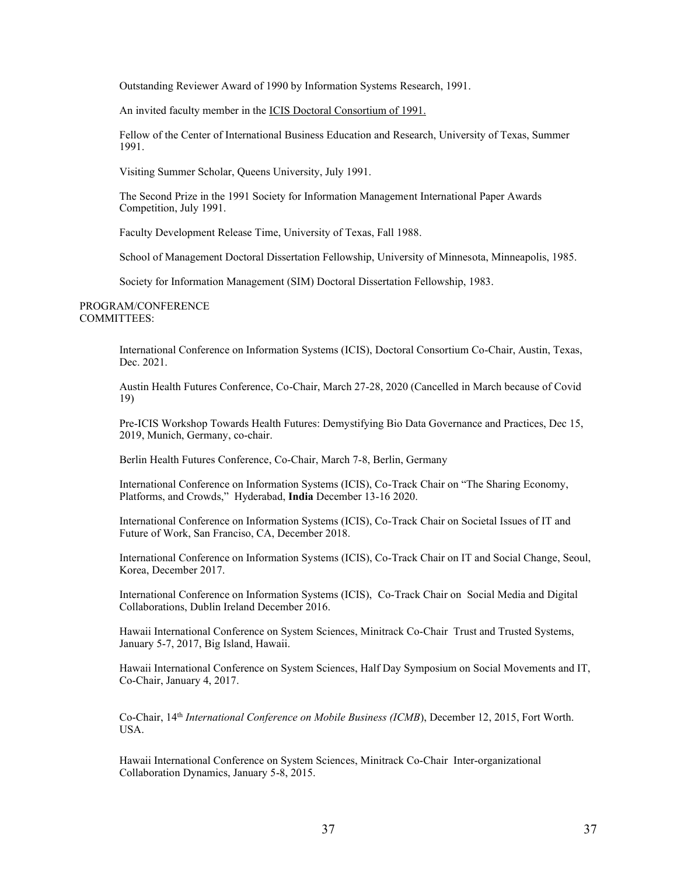Outstanding Reviewer Award of 1990 by Information Systems Research, 1991.

An invited faculty member in the ICIS Doctoral Consortium of 1991.

Fellow of the Center of International Business Education and Research, University of Texas, Summer 1991.

Visiting Summer Scholar, Queens University, July 1991.

The Second Prize in the 1991 Society for Information Management International Paper Awards Competition, July 1991.

Faculty Development Release Time, University of Texas, Fall 1988.

School of Management Doctoral Dissertation Fellowship, University of Minnesota, Minneapolis, 1985.

Society for Information Management (SIM) Doctoral Dissertation Fellowship, 1983.

PROGRAM/CONFERENCE COMMITTEES:

> International Conference on Information Systems (ICIS), Doctoral Consortium Co-Chair, Austin, Texas, Dec. 2021.

> Austin Health Futures Conference, Co-Chair, March 27-28, 2020 (Cancelled in March because of Covid 19)

> Pre-ICIS Workshop Towards Health Futures: Demystifying Bio Data Governance and Practices, Dec 15, 2019, Munich, Germany, co-chair.

Berlin Health Futures Conference, Co-Chair, March 7-8, Berlin, Germany

International Conference on Information Systems (ICIS), Co-Track Chair on "The Sharing Economy, Platforms, and Crowds," Hyderabad, India December 13-16 2020.

International Conference on Information Systems (ICIS), Co-Track Chair on Societal Issues of IT and Future of Work, San Franciso, CA, December 2018.

International Conference on Information Systems (ICIS), Co-Track Chair on IT and Social Change, Seoul, Korea, December 2017.

International Conference on Information Systems (ICIS), Co-Track Chair on Social Media and Digital Collaborations, Dublin Ireland December 2016.

Hawaii International Conference on System Sciences, Minitrack Co-Chair Trust and Trusted Systems, January 5-7, 2017, Big Island, Hawaii.

Hawaii International Conference on System Sciences, Half Day Symposium on Social Movements and IT, Co-Chair, January 4, 2017.

Co-Chair, 14th *International Conference on Mobile Business (ICMB*), December 12, 2015, Fort Worth. USA.

Hawaii International Conference on System Sciences, Minitrack Co-Chair Inter-organizational Collaboration Dynamics, January 5-8, 2015.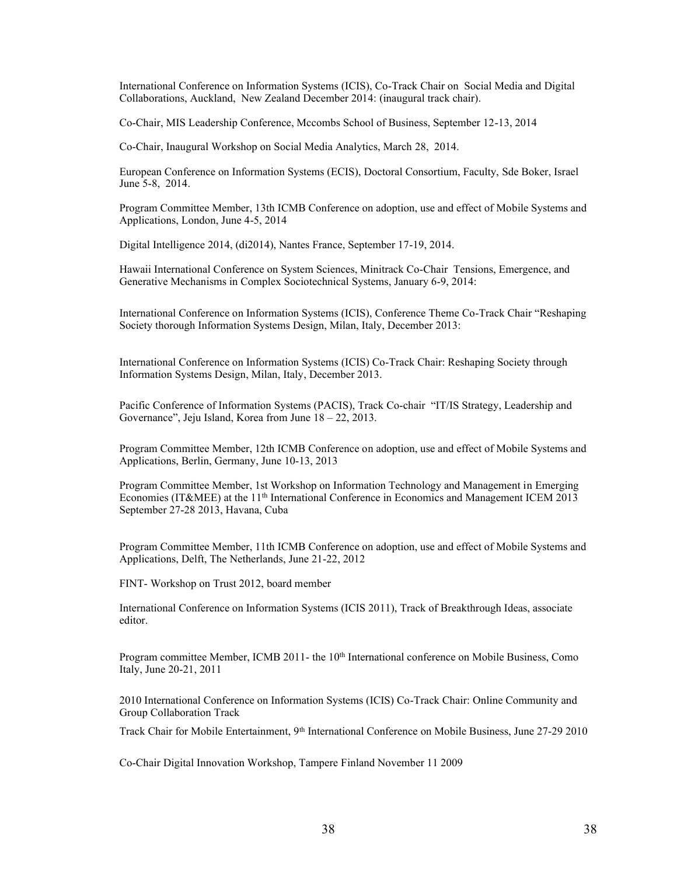International Conference on Information Systems (ICIS), Co-Track Chair on Social Media and Digital Collaborations, Auckland, New Zealand December 2014: (inaugural track chair).

Co-Chair, MIS Leadership Conference, Mccombs School of Business, September 12-13, 2014

Co-Chair, Inaugural Workshop on Social Media Analytics, March 28, 2014.

European Conference on Information Systems (ECIS), Doctoral Consortium, Faculty, Sde Boker, Israel June 5-8, 2014.

Program Committee Member, 13th ICMB Conference on adoption, use and effect of Mobile Systems and Applications, London, June 4-5, 2014

Digital Intelligence 2014, (di2014), Nantes France, September 17-19, 2014.

Hawaii International Conference on System Sciences, Minitrack Co-Chair Tensions, Emergence, and Generative Mechanisms in Complex Sociotechnical Systems, January 6-9, 2014:

International Conference on Information Systems (ICIS), Conference Theme Co-Track Chair "Reshaping Society thorough Information Systems Design, Milan, Italy, December 2013:

International Conference on Information Systems (ICIS) Co-Track Chair: Reshaping Society through Information Systems Design, Milan, Italy, December 2013.

Pacific Conference of Information Systems (PACIS), Track Co-chair "IT/IS Strategy, Leadership and Governance", Jeju Island, Korea from June  $18 - 22$ , 2013.

Program Committee Member, 12th ICMB Conference on adoption, use and effect of Mobile Systems and Applications, Berlin, Germany, June 10-13, 2013

Program Committee Member, 1st Workshop on Information Technology and Management in Emerging Economies (IT&MEE) at the 11<sup>th</sup> International Conference in Economics and Management ICEM 2013 September 27-28 2013, Havana, Cuba

Program Committee Member, 11th ICMB Conference on adoption, use and effect of Mobile Systems and Applications, Delft, The Netherlands, June 21-22, 2012

FINT- Workshop on Trust 2012, board member

International Conference on Information Systems (ICIS 2011), Track of Breakthrough Ideas, associate editor.

Program committee Member, ICMB 2011- the 10<sup>th</sup> International conference on Mobile Business, Como Italy, June 20-21, 2011

2010 International Conference on Information Systems (ICIS) Co-Track Chair: Online Community and Group Collaboration Track

Track Chair for Mobile Entertainment, 9th International Conference on Mobile Business, June 27-29 2010

Co-Chair Digital Innovation Workshop, Tampere Finland November 11 2009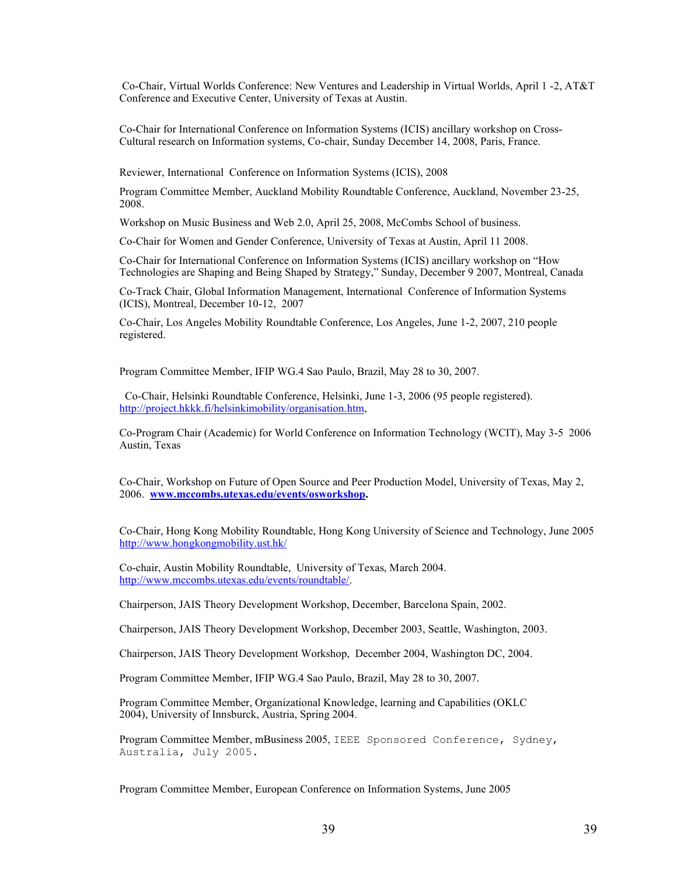Co-Chair, Virtual Worlds Conference: New Ventures and Leadership in Virtual Worlds, April 1 -2, AT&T Conference and Executive Center, University of Texas at Austin.

Co-Chair for International Conference on Information Systems (ICIS) ancillary workshop on Cross-Cultural research on Information systems, Co-chair, Sunday December 14, 2008, Paris, France.

Reviewer, International Conference on Information Systems (ICIS), 2008

Program Committee Member, Auckland Mobility Roundtable Conference, Auckland, November 23-25, 2008.

Workshop on Music Business and Web 2.0, April 25, 2008, McCombs School of business.

Co-Chair for Women and Gender Conference, University of Texas at Austin, April 11 2008.

Co-Chair for International Conference on Information Systems (ICIS) ancillary workshop on "How Technologies are Shaping and Being Shaped by Strategy," Sunday, December 9 2007, Montreal, Canada

Co-Track Chair, Global Information Management, International Conference of Information Systems (ICIS), Montreal, December 10-12, 2007

Co-Chair, Los Angeles Mobility Roundtable Conference, Los Angeles, June 1-2, 2007, 210 people registered.

Program Committee Member, IFIP WG.4 Sao Paulo, Brazil, May 28 to 30, 2007.

 Co-Chair, Helsinki Roundtable Conference, Helsinki, June 1-3, 2006 (95 people registered). [http://project.hkkk.fi/helsinkimobility/organisation.htm,](http://project.hkkk.fi/helsinkimobility/organisation.htm)

Co-Program Chair (Academic) for World Conference on Information Technology (WCIT), May 3-5 2006 Austin, Texas

Co-Chair, Workshop on Future of Open Source and Peer Production Model, University of Texas, May 2, 2006. **[www.mccombs.utexas.edu/events/osworkshop.](http://www.mccombs.utexas.edu/events/osworkshop)**

Co-Chair, Hong Kong Mobility Roundtable, Hong Kong University of Science and Technology, June 2005 <http://www.hongkongmobility.ust.hk/>

Co-chair, Austin Mobility Roundtable, University of Texas, March 2004. [http://www.mccombs.utexas.edu/events/roundtable/.](http://www.mccombs.utexas.edu/events/roundtable/)

Chairperson, JAIS Theory Development Workshop, December, Barcelona Spain, 2002.

Chairperson, JAIS Theory Development Workshop, December 2003, Seattle, Washington, 2003.

Chairperson, JAIS Theory Development Workshop, December 2004, Washington DC, 2004.

Program Committee Member, IFIP WG.4 Sao Paulo, Brazil, May 28 to 30, 2007.

Program Committee Member, Organizational Knowledge, learning and Capabilities (OKLC 2004), University of Innsburck, Austria, Spring 2004.

Program Committee Member, mBusiness 2005, IEEE Sponsored Conference, Sydney, Australia, July 2005.

Program Committee Member, European Conference on Information Systems, June 2005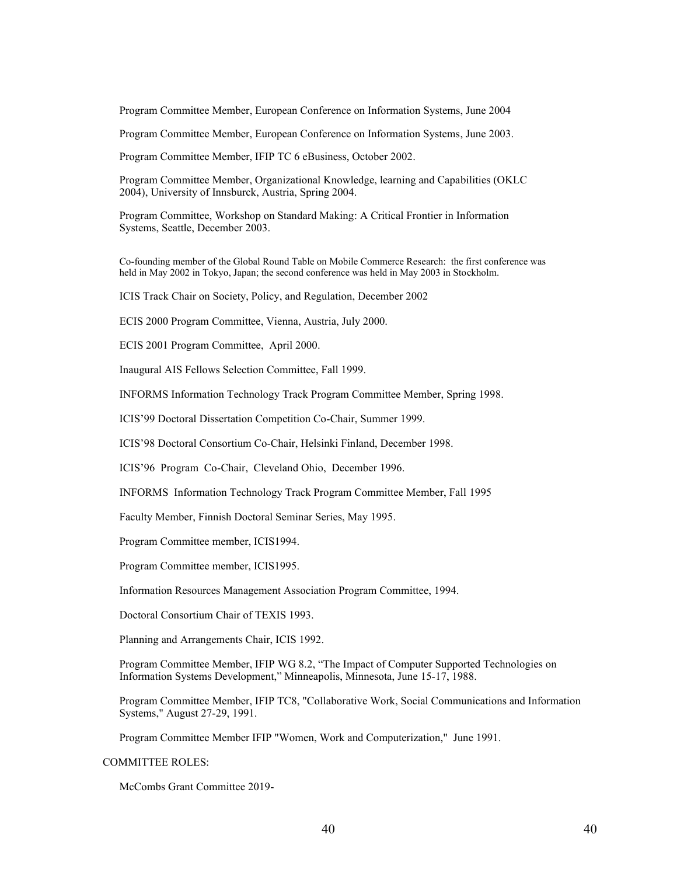Program Committee Member, European Conference on Information Systems, June 2004

Program Committee Member, European Conference on Information Systems, June 2003.

Program Committee Member, IFIP TC 6 eBusiness, October 2002.

Program Committee Member, Organizational Knowledge, learning and Capabilities (OKLC 2004), University of Innsburck, Austria, Spring 2004.

Program Committee, Workshop on Standard Making: A Critical Frontier in Information Systems, Seattle, December 2003.

Co-founding member of the Global Round Table on Mobile Commerce Research: the first conference was held in May 2002 in Tokyo, Japan; the second conference was held in May 2003 in Stockholm.

ICIS Track Chair on Society, Policy, and Regulation, December 2002

ECIS 2000 Program Committee, Vienna, Austria, July 2000.

ECIS 2001 Program Committee, April 2000.

Inaugural AIS Fellows Selection Committee, Fall 1999.

INFORMS Information Technology Track Program Committee Member, Spring 1998.

ICIS'99 Doctoral Dissertation Competition Co-Chair, Summer 1999.

ICIS'98 Doctoral Consortium Co-Chair, Helsinki Finland, December 1998.

ICIS'96 Program Co-Chair, Cleveland Ohio, December 1996.

INFORMS Information Technology Track Program Committee Member, Fall 1995

Faculty Member, Finnish Doctoral Seminar Series, May 1995.

Program Committee member, ICIS1994.

Program Committee member, ICIS1995.

Information Resources Management Association Program Committee, 1994.

Doctoral Consortium Chair of TEXIS 1993.

Planning and Arrangements Chair, ICIS 1992.

Program Committee Member, IFIP WG 8.2, "The Impact of Computer Supported Technologies on Information Systems Development," Minneapolis, Minnesota, June 15-17, 1988.

Program Committee Member, IFIP TC8, "Collaborative Work, Social Communications and Information Systems," August 27-29, 1991.

Program Committee Member IFIP "Women, Work and Computerization," June 1991.

COMMITTEE ROLES:

McCombs Grant Committee 2019-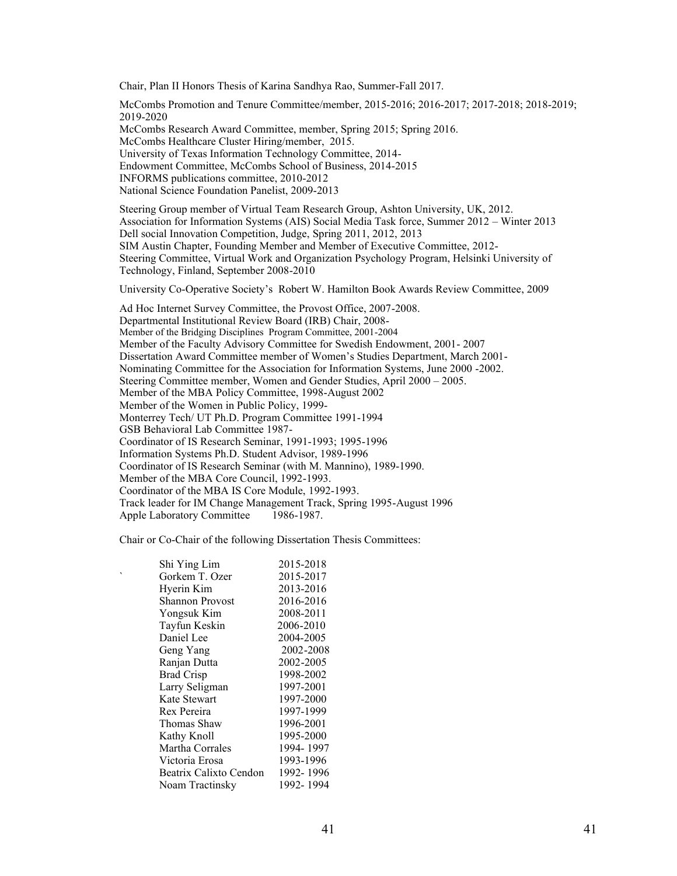Chair, Plan II Honors Thesis of Karina Sandhya Rao, Summer-Fall 2017.

McCombs Promotion and Tenure Committee/member, 2015-2016; 2016-2017; 2017-2018; 2018-2019; 2019-2020 McCombs Research Award Committee, member, Spring 2015; Spring 2016. McCombs Healthcare Cluster Hiring/member, 2015. University of Texas Information Technology Committee, 2014- Endowment Committee, McCombs School of Business, 2014-2015 INFORMS publications committee, 2010-2012 National Science Foundation Panelist, 2009-2013 Steering Group member of Virtual Team Research Group, Ashton University, UK, 2012. Association for Information Systems (AIS) Social Media Task force, Summer 2012 – Winter 2013 Dell social Innovation Competition, Judge, Spring 2011, 2012, 2013

SIM Austin Chapter, Founding Member and Member of Executive Committee, 2012- Steering Committee, Virtual Work and Organization Psychology Program, Helsinki University of Technology, Finland, September 2008-2010

University Co-Operative Society's Robert W. Hamilton Book Awards Review Committee. 2009

Ad Hoc Internet Survey Committee, the Provost Office, 2007-2008. Departmental Institutional Review Board (IRB) Chair, 2008- Member of the Bridging Disciplines Program Committee, 2001-2004 Member of the Faculty Advisory Committee for Swedish Endowment, 2001- 2007 Dissertation Award Committee member of Women's Studies Department, March 2001-Nominating Committee for the Association for Information Systems, June 2000 -2002. Steering Committee member, Women and Gender Studies, April 2000 - 2005. Member of the MBA Policy Committee, 1998-August 2002 Member of the Women in Public Policy, 1999- Monterrey Tech/ UT Ph.D. Program Committee 1991-1994 GSB Behavioral Lab Committee 1987- Coordinator of IS Research Seminar, 1991-1993; 1995-1996 Information Systems Ph.D. Student Advisor, 1989-1996 Coordinator of IS Research Seminar (with M. Mannino), 1989-1990. Member of the MBA Core Council, 1992-1993. Coordinator of the MBA IS Core Module, 1992-1993. Track leader for IM Change Management Track, Spring 1995-August 1996 Apple Laboratory Committee 1986-1987.

Chair or Co-Chair of the following Dissertation Thesis Committees:

|   | Shi Ying Lim           | 2015-2018  |
|---|------------------------|------------|
| ۰ | Gorkem T. Ozer         | 2015-2017  |
|   | Hyerin Kim             | 2013-2016  |
|   | <b>Shannon Provost</b> | 2016-2016  |
|   | Yongsuk Kim            | 2008-2011  |
|   | Tayfun Keskin          | 2006-2010  |
|   | Daniel Lee             | 2004-2005  |
|   | Geng Yang              | 2002-2008  |
|   | Ranjan Dutta           | 2002-2005  |
|   | <b>Brad Crisp</b>      | 1998-2002  |
|   | Larry Seligman         | 1997-2001  |
|   | Kate Stewart           | 1997-2000  |
|   | Rex Pereira            | 1997-1999  |
|   | Thomas Shaw            | 1996-2001  |
|   | Kathy Knoll            | 1995-2000  |
|   | Martha Corrales        | 1994-1997  |
|   | Victoria Erosa         | 1993-1996  |
|   | Beatrix Calixto Cendon | 1992-1996  |
|   | Noam Tractinsky        | 1992- 1994 |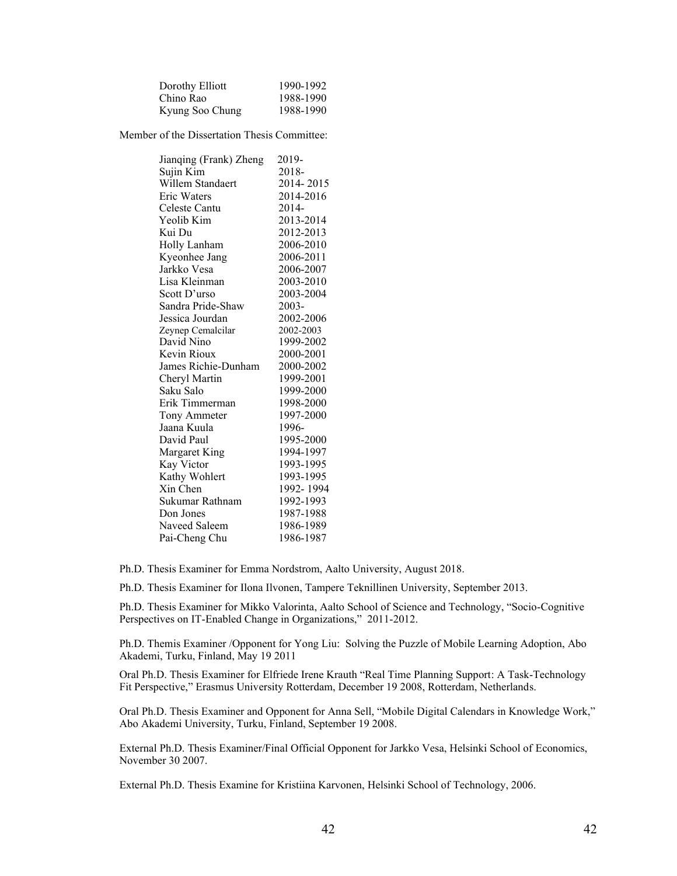| Dorothy Elliott | 1990-1992 |
|-----------------|-----------|
| Chino Rao       | 1988-1990 |
| Kyung Soo Chung | 1988-1990 |

Member of the Dissertation Thesis Committee:

| Jianqing (Frank) Zheng | 2019-     |
|------------------------|-----------|
| Sujin Kim              | 2018-     |
| Willem Standaert       | 2014-2015 |
| Eric Waters            | 2014-2016 |
| Celeste Cantu          | 2014-     |
| Yeolib Kim             | 2013-2014 |
| Kui Du                 | 2012-2013 |
| Holly Lanham           | 2006-2010 |
| Kyeonhee Jang          | 2006-2011 |
| Jarkko Vesa            | 2006-2007 |
| Lisa Kleinman          | 2003-2010 |
| Scott D'urso           | 2003-2004 |
| Sandra Pride-Shaw      | 2003-     |
| Jessica Jourdan        | 2002-2006 |
| Zeynep Cemalcilar      | 2002-2003 |
| David Nino             | 1999-2002 |
| Kevin Rioux            | 2000-2001 |
| James Richie-Dunham    | 2000-2002 |
| Cheryl Martin          | 1999-2001 |
| Saku Salo              | 1999-2000 |
| Erik Timmerman         | 1998-2000 |
| Tony Ammeter           | 1997-2000 |
| Jaana Kuula            | 1996-     |
| David Paul             | 1995-2000 |
| Margaret King          | 1994-1997 |
| Kay Victor             | 1993-1995 |
| Kathy Wohlert          | 1993-1995 |
| Xin Chen               | 1992-1994 |
| Sukumar Rathnam        | 1992-1993 |
| Don Jones              | 1987-1988 |
| Naveed Saleem          | 1986-1989 |
| Pai-Cheng Chu          | 1986-1987 |
|                        |           |

Ph.D. Thesis Examiner for Emma Nordstrom, Aalto University, August 2018.

Ph.D. Thesis Examiner for Ilona Ilvonen, Tampere Teknillinen University, September 2013.

Ph.D. Thesis Examiner for Mikko Valorinta, Aalto School of Science and Technology, "Socio-Cognitive Perspectives on IT-Enabled Change in Organizations," 2011-2012.

Ph.D. Themis Examiner /Opponent for Yong Liu: Solving the Puzzle of Mobile Learning Adoption, Abo Akademi, Turku, Finland, May 19 2011

Oral Ph.D. Thesis Examiner for Elfriede Irene Krauth "Real Time Planning Support: A Task-Technology Fit Perspective," Erasmus University Rotterdam, December 19 2008, Rotterdam, Netherlands.

Oral Ph.D. Thesis Examiner and Opponent for Anna Sell, "Mobile Digital Calendars in Knowledge Work," Abo Akademi University, Turku, Finland, September 19 2008.

External Ph.D. Thesis Examiner/Final Official Opponent for Jarkko Vesa, Helsinki School of Economics, November 30 2007.

External Ph.D. Thesis Examine for Kristiina Karvonen, Helsinki School of Technology, 2006.